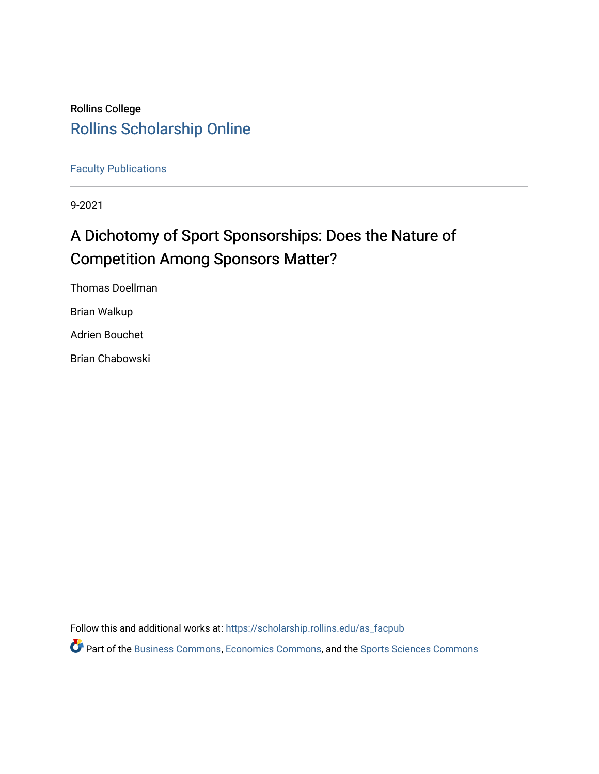# Rollins College [Rollins Scholarship Online](https://scholarship.rollins.edu/)

[Faculty Publications](https://scholarship.rollins.edu/as_facpub)

9-2021

# A Dichotomy of Sport Sponsorships: Does the Nature of Competition Among Sponsors Matter?

Thomas Doellman

Brian Walkup

Adrien Bouchet

Brian Chabowski

Follow this and additional works at: [https://scholarship.rollins.edu/as\\_facpub](https://scholarship.rollins.edu/as_facpub?utm_source=scholarship.rollins.edu%2Fas_facpub%2F248&utm_medium=PDF&utm_campaign=PDFCoverPages) 

Part of the [Business Commons](https://network.bepress.com/hgg/discipline/622?utm_source=scholarship.rollins.edu%2Fas_facpub%2F248&utm_medium=PDF&utm_campaign=PDFCoverPages), [Economics Commons,](https://network.bepress.com/hgg/discipline/340?utm_source=scholarship.rollins.edu%2Fas_facpub%2F248&utm_medium=PDF&utm_campaign=PDFCoverPages) and the [Sports Sciences Commons](https://network.bepress.com/hgg/discipline/759?utm_source=scholarship.rollins.edu%2Fas_facpub%2F248&utm_medium=PDF&utm_campaign=PDFCoverPages)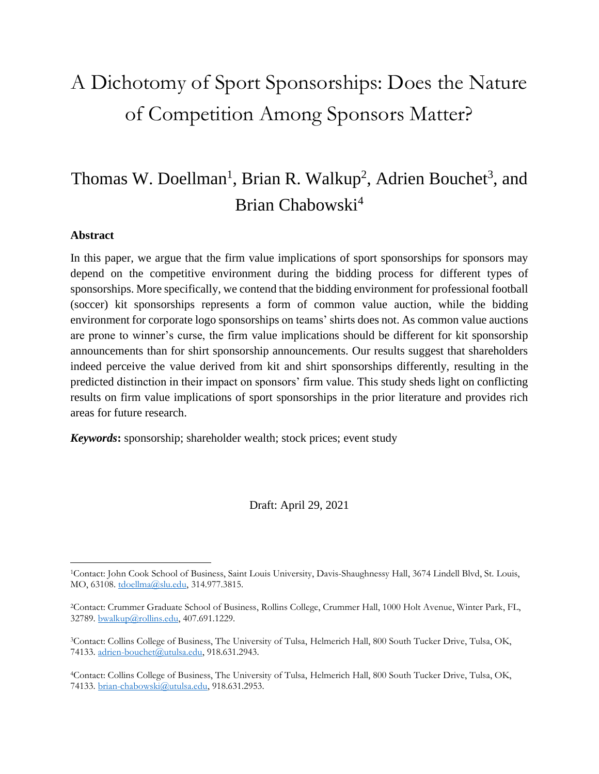# A Dichotomy of Sport Sponsorships: Does the Nature of Competition Among Sponsors Matter?

# Thomas W. Doellman<sup>1</sup>, Brian R. Walkup<sup>2</sup>, Adrien Bouchet<sup>3</sup>, and Brian Chabowski<sup>4</sup>

## **Abstract**

In this paper, we argue that the firm value implications of sport sponsorships for sponsors may depend on the competitive environment during the bidding process for different types of sponsorships. More specifically, we contend that the bidding environment for professional football (soccer) kit sponsorships represents a form of common value auction, while the bidding environment for corporate logo sponsorships on teams' shirts does not. As common value auctions are prone to winner's curse, the firm value implications should be different for kit sponsorship announcements than for shirt sponsorship announcements. Our results suggest that shareholders indeed perceive the value derived from kit and shirt sponsorships differently, resulting in the predicted distinction in their impact on sponsors' firm value. This study sheds light on conflicting results on firm value implications of sport sponsorships in the prior literature and provides rich areas for future research.

*Keywords***:** sponsorship; shareholder wealth; stock prices; event study

Draft: April 29, 2021

<sup>1</sup>Contact: John Cook School of Business, Saint Louis University, Davis-Shaughnessy Hall, 3674 Lindell Blvd, St. Louis, MO, 63108. [tdoellma@slu.edu,](mailto:tdoellma@slu.edu) 314.977.3815.

<sup>2</sup>Contact: Crummer Graduate School of Business, Rollins College, Crummer Hall, 1000 Holt Avenue, Winter Park, FL, 32789. [bwalkup@rollins.edu,](mailto:bwalkup@rollins.edu) 407.691.1229.

<sup>3</sup>Contact: Collins College of Business, The University of Tulsa, Helmerich Hall, 800 South Tucker Drive, Tulsa, OK, 74133. [adrien-bouchet@utulsa.edu,](mailto:adrien-bouchet@utulsa.edu) 918.631.2943.

<sup>4</sup>Contact: Collins College of Business, The University of Tulsa, Helmerich Hall, 800 South Tucker Drive, Tulsa, OK, 74133. [brian-chabowski@utulsa.edu,](mailto:brian-chabowski@utulsa.edu) 918.631.2953.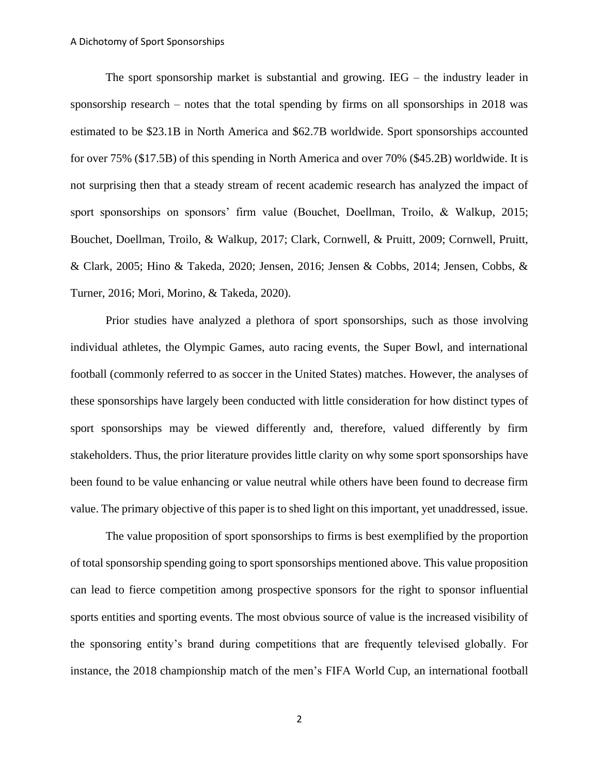The sport sponsorship market is substantial and growing.  $IEG -$  the industry leader in sponsorship research – notes that the total spending by firms on all sponsorships in 2018 was estimated to be \$23.1B in North America and \$62.7B worldwide. Sport sponsorships accounted for over 75% (\$17.5B) of this spending in North America and over 70% (\$45.2B) worldwide. It is not surprising then that a steady stream of recent academic research has analyzed the impact of sport sponsorships on sponsors' firm value (Bouchet, Doellman, Troilo, & Walkup, 2015; Bouchet, Doellman, Troilo, & Walkup, 2017; Clark, Cornwell, & Pruitt, 2009; Cornwell, Pruitt, & Clark, 2005; Hino & Takeda, 2020; Jensen, 2016; Jensen & Cobbs, 2014; Jensen, Cobbs, & Turner, 2016; Mori, Morino, & Takeda, 2020).

Prior studies have analyzed a plethora of sport sponsorships, such as those involving individual athletes, the Olympic Games, auto racing events, the Super Bowl, and international football (commonly referred to as soccer in the United States) matches. However, the analyses of these sponsorships have largely been conducted with little consideration for how distinct types of sport sponsorships may be viewed differently and, therefore, valued differently by firm stakeholders. Thus, the prior literature provides little clarity on why some sport sponsorships have been found to be value enhancing or value neutral while others have been found to decrease firm value. The primary objective of this paper is to shed light on this important, yet unaddressed, issue.

The value proposition of sport sponsorships to firms is best exemplified by the proportion of total sponsorship spending going to sport sponsorships mentioned above. This value proposition can lead to fierce competition among prospective sponsors for the right to sponsor influential sports entities and sporting events. The most obvious source of value is the increased visibility of the sponsoring entity's brand during competitions that are frequently televised globally. For instance, the 2018 championship match of the men's FIFA World Cup, an international football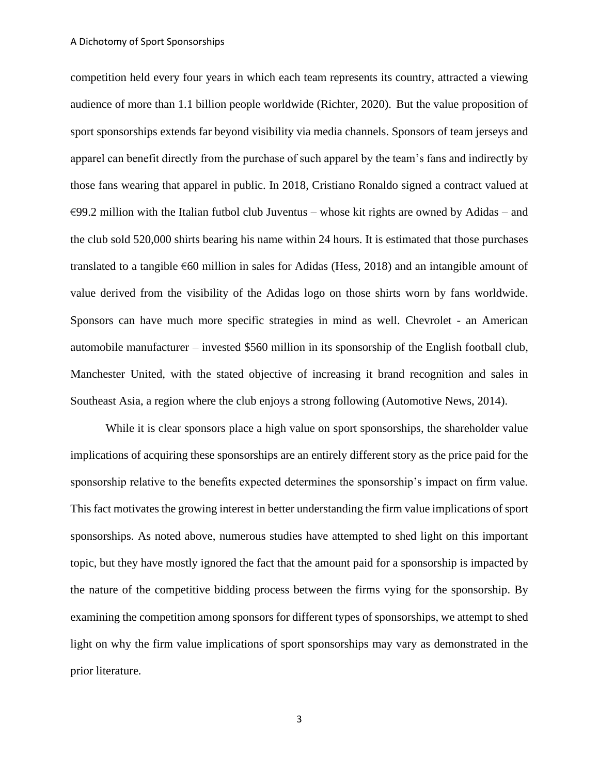#### A Dichotomy of Sport Sponsorships

competition held every four years in which each team represents its country, attracted a viewing audience of more than 1.1 billion people worldwide (Richter, 2020). But the value proposition of sport sponsorships extends far beyond visibility via media channels. Sponsors of team jerseys and apparel can benefit directly from the purchase of such apparel by the team's fans and indirectly by those fans wearing that apparel in public. In 2018, Cristiano Ronaldo signed a contract valued at €99.2 million with the Italian futbol club Juventus – whose kit rights are owned by Adidas – and the club sold 520,000 shirts bearing his name within 24 hours. It is estimated that those purchases translated to a tangible  $\epsilon$ 60 million in sales for Adidas (Hess, 2018) and an intangible amount of value derived from the visibility of the Adidas logo on those shirts worn by fans worldwide. Sponsors can have much more specific strategies in mind as well. Chevrolet - an American automobile manufacturer – invested \$560 million in its sponsorship of the English football club, Manchester United, with the stated objective of increasing it brand recognition and sales in Southeast Asia, a region where the club enjoys a strong following (Automotive News, 2014).

While it is clear sponsors place a high value on sport sponsorships, the shareholder value implications of acquiring these sponsorships are an entirely different story as the price paid for the sponsorship relative to the benefits expected determines the sponsorship's impact on firm value. This fact motivates the growing interest in better understanding the firm value implications of sport sponsorships. As noted above, numerous studies have attempted to shed light on this important topic, but they have mostly ignored the fact that the amount paid for a sponsorship is impacted by the nature of the competitive bidding process between the firms vying for the sponsorship. By examining the competition among sponsors for different types of sponsorships, we attempt to shed light on why the firm value implications of sport sponsorships may vary as demonstrated in the prior literature.

3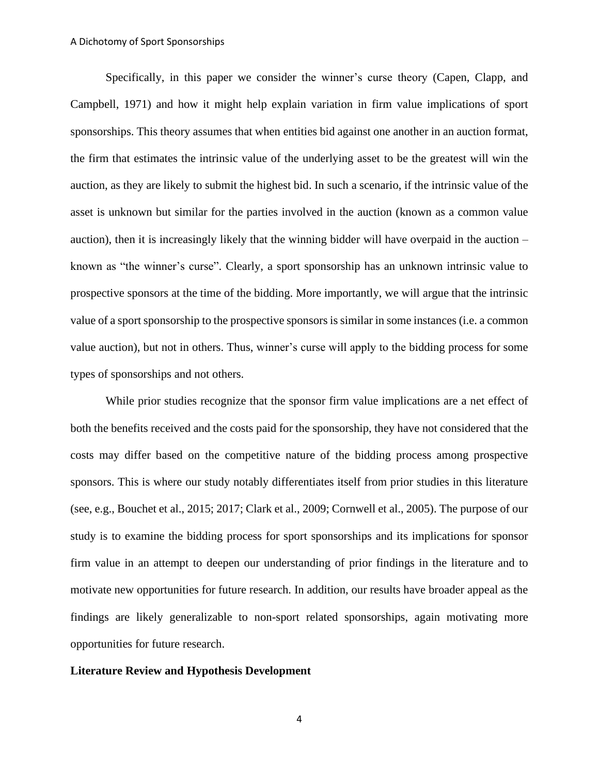Specifically, in this paper we consider the winner's curse theory (Capen, Clapp, and Campbell, 1971) and how it might help explain variation in firm value implications of sport sponsorships. This theory assumes that when entities bid against one another in an auction format, the firm that estimates the intrinsic value of the underlying asset to be the greatest will win the auction, as they are likely to submit the highest bid. In such a scenario, if the intrinsic value of the asset is unknown but similar for the parties involved in the auction (known as a common value auction), then it is increasingly likely that the winning bidder will have overpaid in the auction – known as "the winner's curse". Clearly, a sport sponsorship has an unknown intrinsic value to prospective sponsors at the time of the bidding. More importantly, we will argue that the intrinsic value of a sport sponsorship to the prospective sponsors is similar in some instances (i.e. a common value auction), but not in others. Thus, winner's curse will apply to the bidding process for some types of sponsorships and not others.

While prior studies recognize that the sponsor firm value implications are a net effect of both the benefits received and the costs paid for the sponsorship, they have not considered that the costs may differ based on the competitive nature of the bidding process among prospective sponsors. This is where our study notably differentiates itself from prior studies in this literature (see, e.g., Bouchet et al., 2015; 2017; Clark et al., 2009; Cornwell et al., 2005). The purpose of our study is to examine the bidding process for sport sponsorships and its implications for sponsor firm value in an attempt to deepen our understanding of prior findings in the literature and to motivate new opportunities for future research. In addition, our results have broader appeal as the findings are likely generalizable to non-sport related sponsorships, again motivating more opportunities for future research.

#### **Literature Review and Hypothesis Development**

4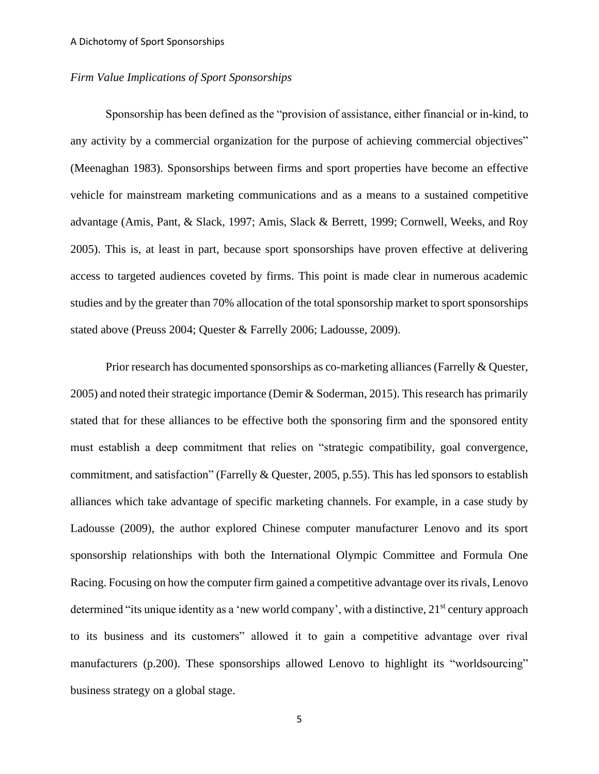## *Firm Value Implications of Sport Sponsorships*

Sponsorship has been defined as the "provision of assistance, either financial or in-kind, to any activity by a commercial organization for the purpose of achieving commercial objectives" (Meenaghan 1983). Sponsorships between firms and sport properties have become an effective vehicle for mainstream marketing communications and as a means to a sustained competitive advantage (Amis, Pant, & Slack, 1997; Amis, Slack & Berrett, 1999; Cornwell, Weeks, and Roy 2005). This is, at least in part, because sport sponsorships have proven effective at delivering access to targeted audiences coveted by firms. This point is made clear in numerous academic studies and by the greater than 70% allocation of the total sponsorship market to sport sponsorships stated above (Preuss 2004; Quester & Farrelly 2006; Ladousse, 2009).

Prior research has documented sponsorships as co-marketing alliances (Farrelly & Quester, 2005) and noted their strategic importance (Demir & Soderman, 2015). This research has primarily stated that for these alliances to be effective both the sponsoring firm and the sponsored entity must establish a deep commitment that relies on "strategic compatibility, goal convergence, commitment, and satisfaction" (Farrelly & Quester, 2005, p.55). This has led sponsors to establish alliances which take advantage of specific marketing channels. For example, in a case study by Ladousse (2009), the author explored Chinese computer manufacturer Lenovo and its sport sponsorship relationships with both the International Olympic Committee and Formula One Racing. Focusing on how the computer firm gained a competitive advantage over its rivals, Lenovo determined "its unique identity as a 'new world company', with a distinctive, 21<sup>st</sup> century approach to its business and its customers" allowed it to gain a competitive advantage over rival manufacturers (p.200). These sponsorships allowed Lenovo to highlight its "worldsourcing" business strategy on a global stage.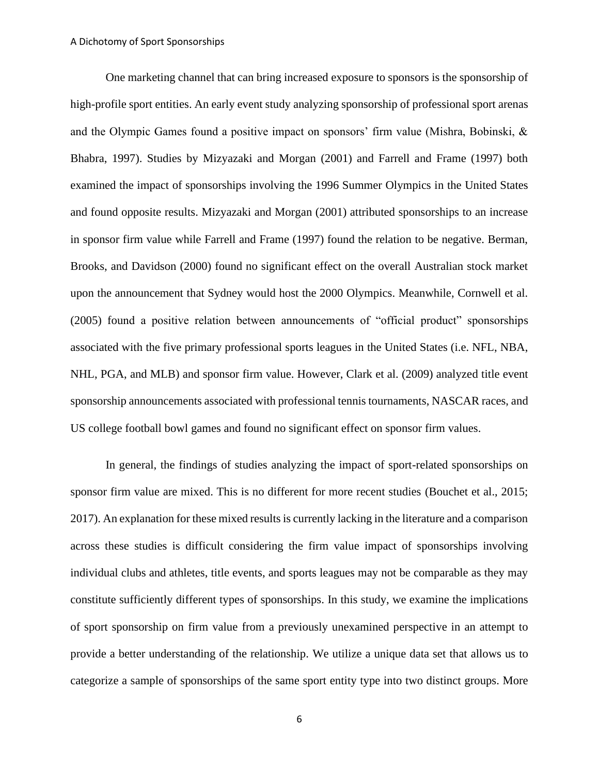One marketing channel that can bring increased exposure to sponsors is the sponsorship of high-profile sport entities. An early event study analyzing sponsorship of professional sport arenas and the Olympic Games found a positive impact on sponsors' firm value (Mishra, Bobinski, & Bhabra, 1997). Studies by Mizyazaki and Morgan (2001) and Farrell and Frame (1997) both examined the impact of sponsorships involving the 1996 Summer Olympics in the United States and found opposite results. Mizyazaki and Morgan (2001) attributed sponsorships to an increase in sponsor firm value while Farrell and Frame (1997) found the relation to be negative. Berman, Brooks, and Davidson (2000) found no significant effect on the overall Australian stock market upon the announcement that Sydney would host the 2000 Olympics. Meanwhile, Cornwell et al. (2005) found a positive relation between announcements of "official product" sponsorships associated with the five primary professional sports leagues in the United States (i.e. NFL, NBA, NHL, PGA, and MLB) and sponsor firm value. However, Clark et al. (2009) analyzed title event sponsorship announcements associated with professional tennis tournaments, NASCAR races, and US college football bowl games and found no significant effect on sponsor firm values.

In general, the findings of studies analyzing the impact of sport-related sponsorships on sponsor firm value are mixed. This is no different for more recent studies (Bouchet et al., 2015; 2017). An explanation for these mixed results is currently lacking in the literature and a comparison across these studies is difficult considering the firm value impact of sponsorships involving individual clubs and athletes, title events, and sports leagues may not be comparable as they may constitute sufficiently different types of sponsorships. In this study, we examine the implications of sport sponsorship on firm value from a previously unexamined perspective in an attempt to provide a better understanding of the relationship. We utilize a unique data set that allows us to categorize a sample of sponsorships of the same sport entity type into two distinct groups. More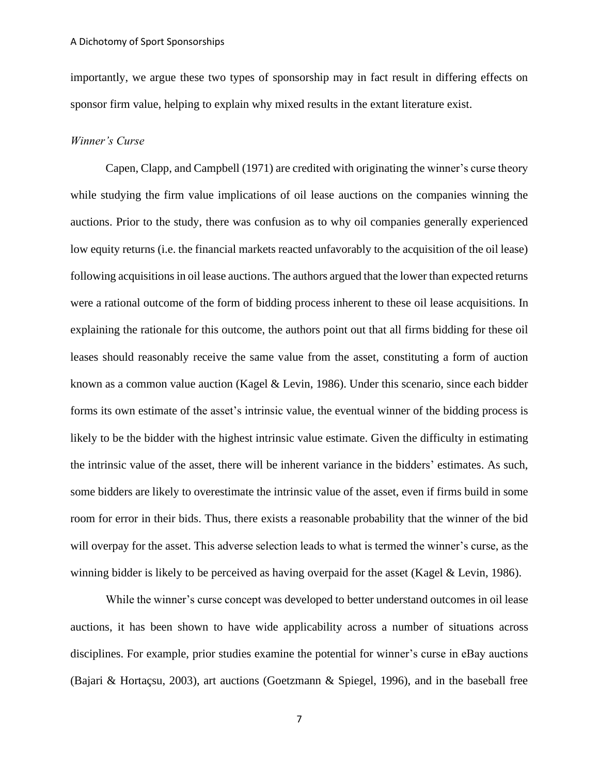importantly, we argue these two types of sponsorship may in fact result in differing effects on sponsor firm value, helping to explain why mixed results in the extant literature exist.

## *Winner's Curse*

Capen, Clapp, and Campbell (1971) are credited with originating the winner's curse theory while studying the firm value implications of oil lease auctions on the companies winning the auctions. Prior to the study, there was confusion as to why oil companies generally experienced low equity returns (i.e. the financial markets reacted unfavorably to the acquisition of the oil lease) following acquisitions in oil lease auctions. The authors argued that the lower than expected returns were a rational outcome of the form of bidding process inherent to these oil lease acquisitions. In explaining the rationale for this outcome, the authors point out that all firms bidding for these oil leases should reasonably receive the same value from the asset, constituting a form of auction known as a common value auction (Kagel & Levin, 1986). Under this scenario, since each bidder forms its own estimate of the asset's intrinsic value, the eventual winner of the bidding process is likely to be the bidder with the highest intrinsic value estimate. Given the difficulty in estimating the intrinsic value of the asset, there will be inherent variance in the bidders' estimates. As such, some bidders are likely to overestimate the intrinsic value of the asset, even if firms build in some room for error in their bids. Thus, there exists a reasonable probability that the winner of the bid will overpay for the asset. This adverse selection leads to what is termed the winner's curse, as the winning bidder is likely to be perceived as having overpaid for the asset (Kagel & Levin, 1986).

While the winner's curse concept was developed to better understand outcomes in oil lease auctions, it has been shown to have wide applicability across a number of situations across disciplines. For example, prior studies examine the potential for winner's curse in eBay auctions (Bajari & Hortaçsu, 2003), art auctions (Goetzmann & Spiegel, 1996), and in the baseball free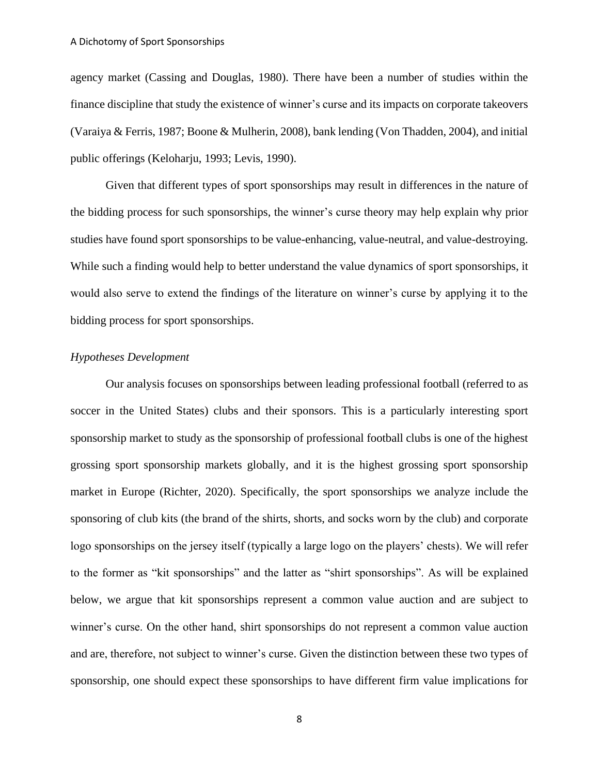agency market (Cassing and Douglas, 1980). There have been a number of studies within the finance discipline that study the existence of winner's curse and its impacts on corporate takeovers (Varaiya & Ferris, 1987; Boone & Mulherin, 2008), bank lending (Von Thadden, 2004), and initial public offerings (Keloharju, 1993; Levis, 1990).

Given that different types of sport sponsorships may result in differences in the nature of the bidding process for such sponsorships, the winner's curse theory may help explain why prior studies have found sport sponsorships to be value-enhancing, value-neutral, and value-destroying. While such a finding would help to better understand the value dynamics of sport sponsorships, it would also serve to extend the findings of the literature on winner's curse by applying it to the bidding process for sport sponsorships.

## *Hypotheses Development*

Our analysis focuses on sponsorships between leading professional football (referred to as soccer in the United States) clubs and their sponsors. This is a particularly interesting sport sponsorship market to study as the sponsorship of professional football clubs is one of the highest grossing sport sponsorship markets globally, and it is the highest grossing sport sponsorship market in Europe (Richter, 2020). Specifically, the sport sponsorships we analyze include the sponsoring of club kits (the brand of the shirts, shorts, and socks worn by the club) and corporate logo sponsorships on the jersey itself (typically a large logo on the players' chests). We will refer to the former as "kit sponsorships" and the latter as "shirt sponsorships". As will be explained below, we argue that kit sponsorships represent a common value auction and are subject to winner's curse. On the other hand, shirt sponsorships do not represent a common value auction and are, therefore, not subject to winner's curse. Given the distinction between these two types of sponsorship, one should expect these sponsorships to have different firm value implications for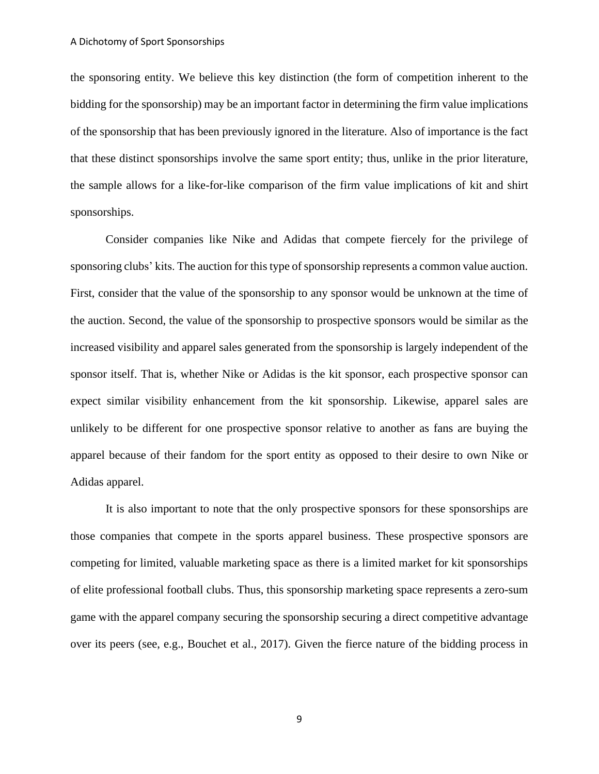the sponsoring entity. We believe this key distinction (the form of competition inherent to the bidding for the sponsorship) may be an important factor in determining the firm value implications of the sponsorship that has been previously ignored in the literature. Also of importance is the fact that these distinct sponsorships involve the same sport entity; thus, unlike in the prior literature, the sample allows for a like-for-like comparison of the firm value implications of kit and shirt sponsorships.

Consider companies like Nike and Adidas that compete fiercely for the privilege of sponsoring clubs' kits. The auction for this type of sponsorship represents a common value auction. First, consider that the value of the sponsorship to any sponsor would be unknown at the time of the auction. Second, the value of the sponsorship to prospective sponsors would be similar as the increased visibility and apparel sales generated from the sponsorship is largely independent of the sponsor itself. That is, whether Nike or Adidas is the kit sponsor, each prospective sponsor can expect similar visibility enhancement from the kit sponsorship. Likewise, apparel sales are unlikely to be different for one prospective sponsor relative to another as fans are buying the apparel because of their fandom for the sport entity as opposed to their desire to own Nike or Adidas apparel.

It is also important to note that the only prospective sponsors for these sponsorships are those companies that compete in the sports apparel business. These prospective sponsors are competing for limited, valuable marketing space as there is a limited market for kit sponsorships of elite professional football clubs. Thus, this sponsorship marketing space represents a zero-sum game with the apparel company securing the sponsorship securing a direct competitive advantage over its peers (see, e.g., Bouchet et al., 2017). Given the fierce nature of the bidding process in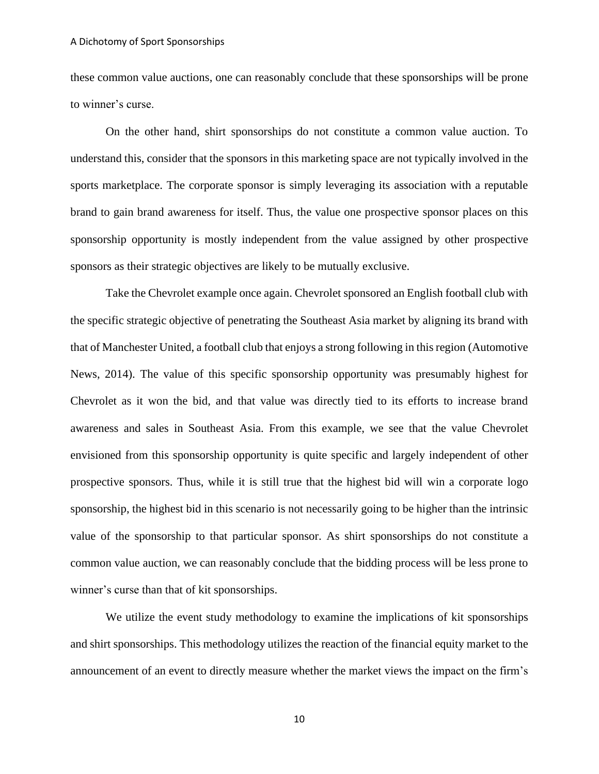#### A Dichotomy of Sport Sponsorships

these common value auctions, one can reasonably conclude that these sponsorships will be prone to winner's curse.

On the other hand, shirt sponsorships do not constitute a common value auction. To understand this, consider that the sponsors in this marketing space are not typically involved in the sports marketplace. The corporate sponsor is simply leveraging its association with a reputable brand to gain brand awareness for itself. Thus, the value one prospective sponsor places on this sponsorship opportunity is mostly independent from the value assigned by other prospective sponsors as their strategic objectives are likely to be mutually exclusive.

Take the Chevrolet example once again. Chevrolet sponsored an English football club with the specific strategic objective of penetrating the Southeast Asia market by aligning its brand with that of Manchester United, a football club that enjoys a strong following in this region (Automotive News, 2014). The value of this specific sponsorship opportunity was presumably highest for Chevrolet as it won the bid, and that value was directly tied to its efforts to increase brand awareness and sales in Southeast Asia. From this example, we see that the value Chevrolet envisioned from this sponsorship opportunity is quite specific and largely independent of other prospective sponsors. Thus, while it is still true that the highest bid will win a corporate logo sponsorship, the highest bid in this scenario is not necessarily going to be higher than the intrinsic value of the sponsorship to that particular sponsor. As shirt sponsorships do not constitute a common value auction, we can reasonably conclude that the bidding process will be less prone to winner's curse than that of kit sponsorships.

We utilize the event study methodology to examine the implications of kit sponsorships and shirt sponsorships. This methodology utilizes the reaction of the financial equity market to the announcement of an event to directly measure whether the market views the impact on the firm's

10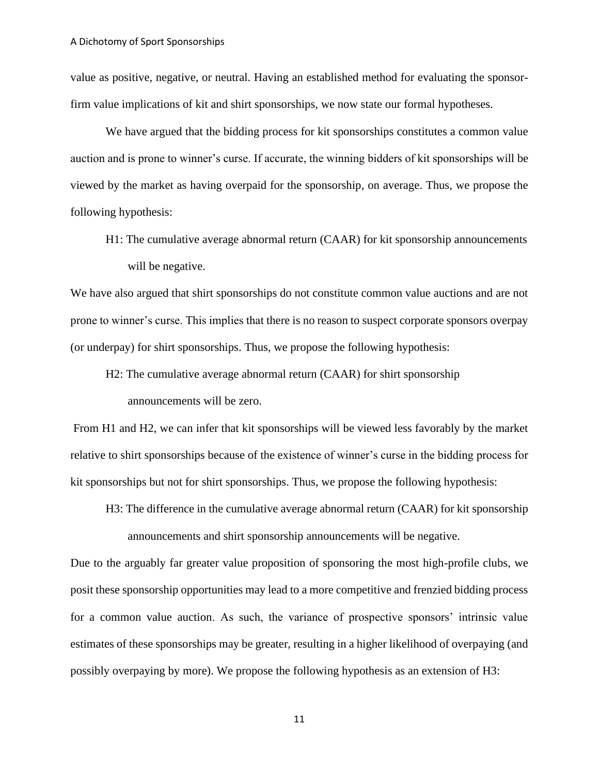value as positive, negative, or neutral. Having an established method for evaluating the sponsorfirm value implications of kit and shirt sponsorships, we now state our formal hypotheses.

We have argued that the bidding process for kit sponsorships constitutes a common value auction and is prone to winner's curse. If accurate, the winning bidders of kit sponsorships will be viewed by the market as having overpaid for the sponsorship, on average. Thus, we propose the following hypothesis:

H1: The cumulative average abnormal return (CAAR) for kit sponsorship announcements will be negative.

We have also argued that shirt sponsorships do not constitute common value auctions and are not prone to winner's curse. This implies that there is no reason to suspect corporate sponsors overpay (or underpay) for shirt sponsorships. Thus, we propose the following hypothesis:

H2: The cumulative average abnormal return (CAAR) for shirt sponsorship

announcements will be zero.

From H1 and H2, we can infer that kit sponsorships will be viewed less favorably by the market relative to shirt sponsorships because of the existence of winner's curse in the bidding process for kit sponsorships but not for shirt sponsorships. Thus, we propose the following hypothesis:

H3: The difference in the cumulative average abnormal return (CAAR) for kit sponsorship announcements and shirt sponsorship announcements will be negative.

Due to the arguably far greater value proposition of sponsoring the most high-profile clubs, we posit these sponsorship opportunities may lead to a more competitive and frenzied bidding process for a common value auction. As such, the variance of prospective sponsors' intrinsic value estimates of these sponsorships may be greater, resulting in a higher likelihood of overpaying (and possibly overpaying by more). We propose the following hypothesis as an extension of H3: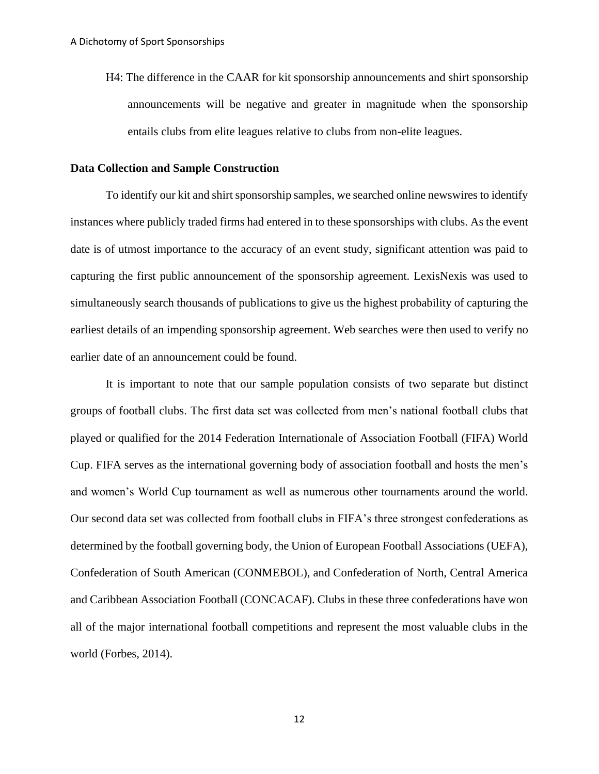H4: The difference in the CAAR for kit sponsorship announcements and shirt sponsorship announcements will be negative and greater in magnitude when the sponsorship entails clubs from elite leagues relative to clubs from non-elite leagues.

## **Data Collection and Sample Construction**

To identify our kit and shirt sponsorship samples, we searched online newswires to identify instances where publicly traded firms had entered in to these sponsorships with clubs. As the event date is of utmost importance to the accuracy of an event study, significant attention was paid to capturing the first public announcement of the sponsorship agreement. LexisNexis was used to simultaneously search thousands of publications to give us the highest probability of capturing the earliest details of an impending sponsorship agreement. Web searches were then used to verify no earlier date of an announcement could be found.

It is important to note that our sample population consists of two separate but distinct groups of football clubs. The first data set was collected from men's national football clubs that played or qualified for the 2014 Federation Internationale of Association Football (FIFA) World Cup. FIFA serves as the international governing body of association football and hosts the men's and women's World Cup tournament as well as numerous other tournaments around the world. Our second data set was collected from football clubs in FIFA's three strongest confederations as determined by the football governing body, the Union of European Football Associations (UEFA), Confederation of South American (CONMEBOL), and Confederation of North, Central America and Caribbean Association Football (CONCACAF). Clubs in these three confederations have won all of the major international football competitions and represent the most valuable clubs in the world (Forbes, 2014).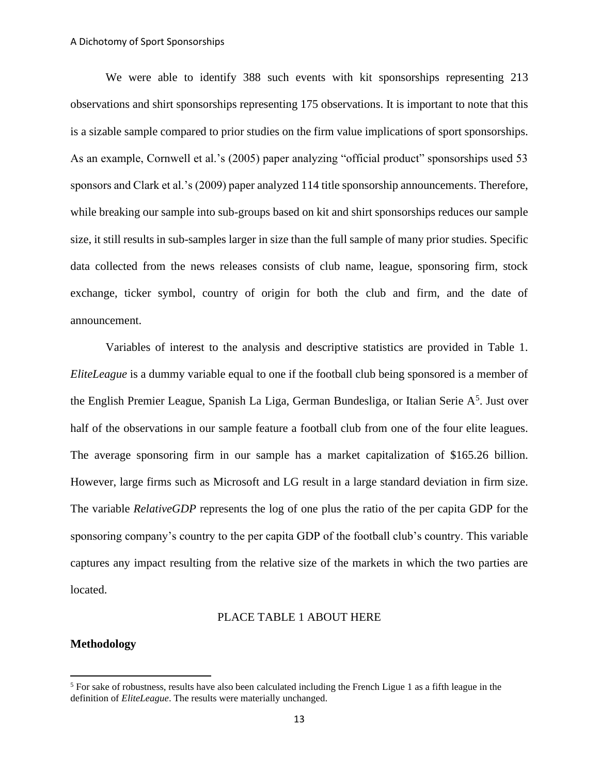We were able to identify 388 such events with kit sponsorships representing 213 observations and shirt sponsorships representing 175 observations. It is important to note that this is a sizable sample compared to prior studies on the firm value implications of sport sponsorships. As an example, Cornwell et al.'s (2005) paper analyzing "official product" sponsorships used 53 sponsors and Clark et al.'s (2009) paper analyzed 114 title sponsorship announcements. Therefore, while breaking our sample into sub-groups based on kit and shirt sponsorships reduces our sample size, it still results in sub-samples larger in size than the full sample of many prior studies. Specific data collected from the news releases consists of club name, league, sponsoring firm, stock exchange, ticker symbol, country of origin for both the club and firm, and the date of announcement.

Variables of interest to the analysis and descriptive statistics are provided in Table 1. *EliteLeague* is a dummy variable equal to one if the football club being sponsored is a member of the English Premier League, Spanish La Liga, German Bundesliga, or Italian Serie A<sup>5</sup>. Just over half of the observations in our sample feature a football club from one of the four elite leagues. The average sponsoring firm in our sample has a market capitalization of \$165.26 billion. However, large firms such as Microsoft and LG result in a large standard deviation in firm size. The variable *RelativeGDP* represents the log of one plus the ratio of the per capita GDP for the sponsoring company's country to the per capita GDP of the football club's country. This variable captures any impact resulting from the relative size of the markets in which the two parties are located.

#### PLACE TABLE 1 ABOUT HERE

#### **Methodology**

 $<sup>5</sup>$  For sake of robustness, results have also been calculated including the French Ligue 1 as a fifth league in the</sup> definition of *EliteLeague*. The results were materially unchanged.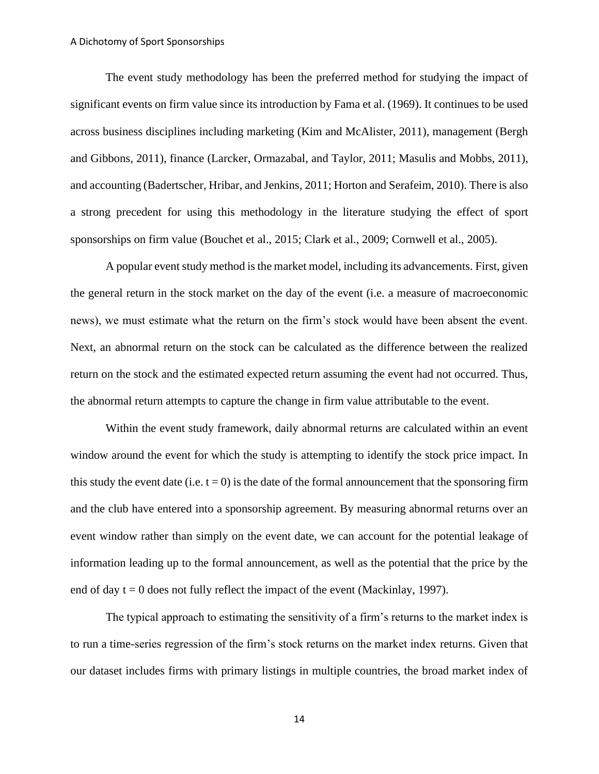#### A Dichotomy of Sport Sponsorships

The event study methodology has been the preferred method for studying the impact of significant events on firm value since its introduction by Fama et al. (1969). It continues to be used across business disciplines including marketing (Kim and McAlister, 2011), management (Bergh and Gibbons, 2011), finance (Larcker, Ormazabal, and Taylor*,* 2011; Masulis and Mobbs, 2011), and accounting (Badertscher, Hribar, and Jenkins*,* 2011; Horton and Serafeim, 2010). There is also a strong precedent for using this methodology in the literature studying the effect of sport sponsorships on firm value (Bouchet et al., 2015; Clark et al., 2009; Cornwell et al., 2005).

A popular event study method is the market model, including its advancements. First, given the general return in the stock market on the day of the event (i.e. a measure of macroeconomic news), we must estimate what the return on the firm's stock would have been absent the event. Next, an abnormal return on the stock can be calculated as the difference between the realized return on the stock and the estimated expected return assuming the event had not occurred. Thus, the abnormal return attempts to capture the change in firm value attributable to the event.

Within the event study framework, daily abnormal returns are calculated within an event window around the event for which the study is attempting to identify the stock price impact. In this study the event date (i.e.  $t = 0$ ) is the date of the formal announcement that the sponsoring firm and the club have entered into a sponsorship agreement. By measuring abnormal returns over an event window rather than simply on the event date, we can account for the potential leakage of information leading up to the formal announcement, as well as the potential that the price by the end of day  $t = 0$  does not fully reflect the impact of the event (Mackinlay, 1997).

The typical approach to estimating the sensitivity of a firm's returns to the market index is to run a time-series regression of the firm's stock returns on the market index returns. Given that our dataset includes firms with primary listings in multiple countries, the broad market index of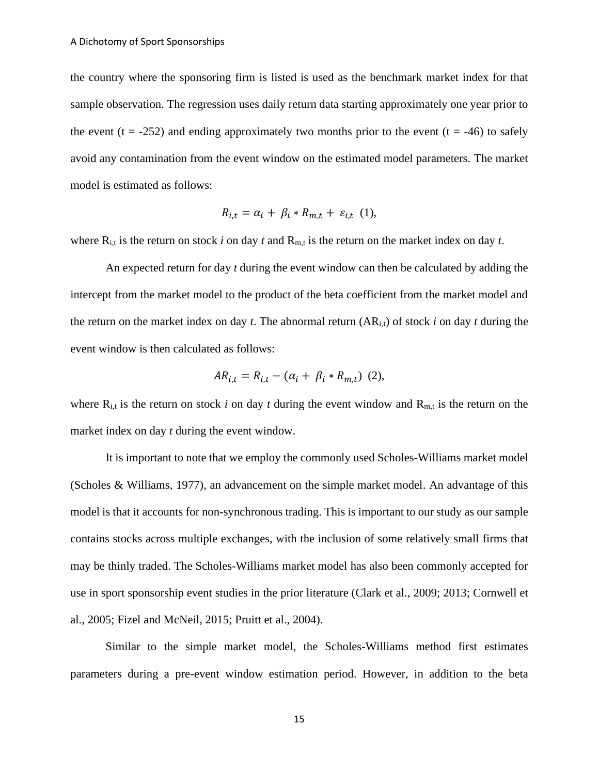the country where the sponsoring firm is listed is used as the benchmark market index for that sample observation. The regression uses daily return data starting approximately one year prior to the event (t = -252) and ending approximately two months prior to the event (t = -46) to safely avoid any contamination from the event window on the estimated model parameters. The market model is estimated as follows:

$$
R_{i,t} = \alpha_i + \beta_i * R_{m,t} + \varepsilon_{i,t} \quad (1),
$$

where  $R_{i,t}$  is the return on stock *i* on day *t* and  $R_{m,t}$  is the return on the market index on day *t*.

An expected return for day *t* during the event window can then be calculated by adding the intercept from the market model to the product of the beta coefficient from the market model and the return on the market index on day *t*. The abnormal return (ARi,t) of stock *i* on day *t* during the event window is then calculated as follows:

$$
AR_{i,t} = R_{i,t} - (\alpha_i + \beta_i * R_{m,t}) \tag{2},
$$

where  $R_{i,t}$  is the return on stock *i* on day *t* during the event window and  $R_{m,t}$  is the return on the market index on day *t* during the event window.

It is important to note that we employ the commonly used Scholes-Williams market model (Scholes & Williams, 1977), an advancement on the simple market model. An advantage of this model is that it accounts for non-synchronous trading. This is important to our study as our sample contains stocks across multiple exchanges, with the inclusion of some relatively small firms that may be thinly traded. The Scholes-Williams market model has also been commonly accepted for use in sport sponsorship event studies in the prior literature (Clark et al., 2009; 2013; Cornwell et al., 2005; Fizel and McNeil, 2015; Pruitt et al., 2004).

Similar to the simple market model, the Scholes-Williams method first estimates parameters during a pre-event window estimation period. However, in addition to the beta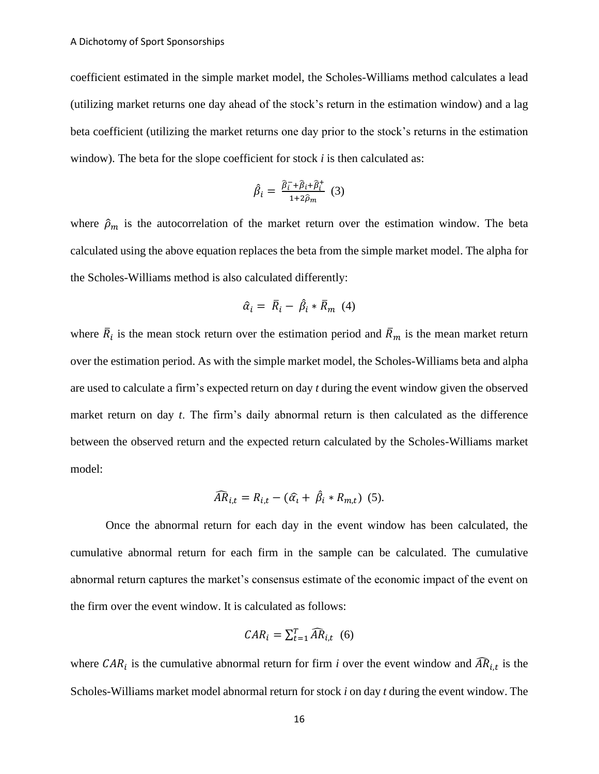coefficient estimated in the simple market model, the Scholes-Williams method calculates a lead (utilizing market returns one day ahead of the stock's return in the estimation window) and a lag beta coefficient (utilizing the market returns one day prior to the stock's returns in the estimation window). The beta for the slope coefficient for stock *i* is then calculated as:

$$
\hat{\beta}_i = \frac{\hat{\beta}_i^- + \hat{\beta}_i + \hat{\beta}_i^+}{1 + 2\hat{\rho}_m} \tag{3}
$$

where  $\hat{\rho}_m$  is the autocorrelation of the market return over the estimation window. The beta calculated using the above equation replaces the beta from the simple market model. The alpha for the Scholes-Williams method is also calculated differently:

$$
\hat{\alpha}_i = \bar{R}_i - \hat{\beta}_i * \bar{R}_m \quad (4)
$$

where  $\bar{R}_i$  is the mean stock return over the estimation period and  $\bar{R}_m$  is the mean market return over the estimation period. As with the simple market model, the Scholes-Williams beta and alpha are used to calculate a firm's expected return on day *t* during the event window given the observed market return on day *t*. The firm's daily abnormal return is then calculated as the difference between the observed return and the expected return calculated by the Scholes-Williams market model:

$$
\widehat{AR}_{i,t} = R_{i,t} - (\widehat{\alpha}_t + \widehat{\beta}_t * R_{m,t}) \tag{5}.
$$

Once the abnormal return for each day in the event window has been calculated, the cumulative abnormal return for each firm in the sample can be calculated. The cumulative abnormal return captures the market's consensus estimate of the economic impact of the event on the firm over the event window. It is calculated as follows:

$$
CAR_i = \sum_{t=1}^{T} \widehat{AR}_{i,t} \tag{6}
$$

where  $CAR_i$  is the cumulative abnormal return for firm *i* over the event window and  $\widehat{AR}_{i,t}$  is the Scholes-Williams market model abnormal return for stock *i* on day *t* during the event window. The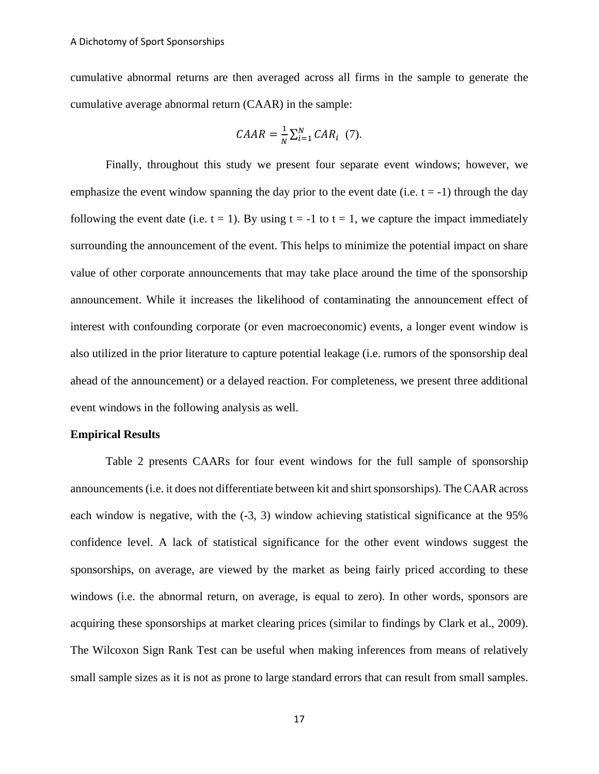cumulative abnormal returns are then averaged across all firms in the sample to generate the cumulative average abnormal return (CAAR) in the sample:

$$
C A A R = \frac{1}{N} \sum_{i=1}^{N} C A R_i
$$
 (7).

Finally, throughout this study we present four separate event windows; however, we emphasize the event window spanning the day prior to the event date (i.e.  $t = -1$ ) through the day following the event date (i.e.  $t = 1$ ). By using  $t = -1$  to  $t = 1$ , we capture the impact immediately surrounding the announcement of the event. This helps to minimize the potential impact on share value of other corporate announcements that may take place around the time of the sponsorship announcement. While it increases the likelihood of contaminating the announcement effect of interest with confounding corporate (or even macroeconomic) events, a longer event window is also utilized in the prior literature to capture potential leakage (i.e. rumors of the sponsorship deal ahead of the announcement) or a delayed reaction. For completeness, we present three additional event windows in the following analysis as well.

#### **Empirical Results**

Table 2 presents CAARs for four event windows for the full sample of sponsorship announcements (i.e. it does not differentiate between kit and shirt sponsorships). The CAAR across each window is negative, with the (-3, 3) window achieving statistical significance at the 95% confidence level. A lack of statistical significance for the other event windows suggest the sponsorships, on average, are viewed by the market as being fairly priced according to these windows (i.e. the abnormal return, on average, is equal to zero). In other words, sponsors are acquiring these sponsorships at market clearing prices (similar to findings by Clark et al., 2009). The Wilcoxon Sign Rank Test can be useful when making inferences from means of relatively small sample sizes as it is not as prone to large standard errors that can result from small samples.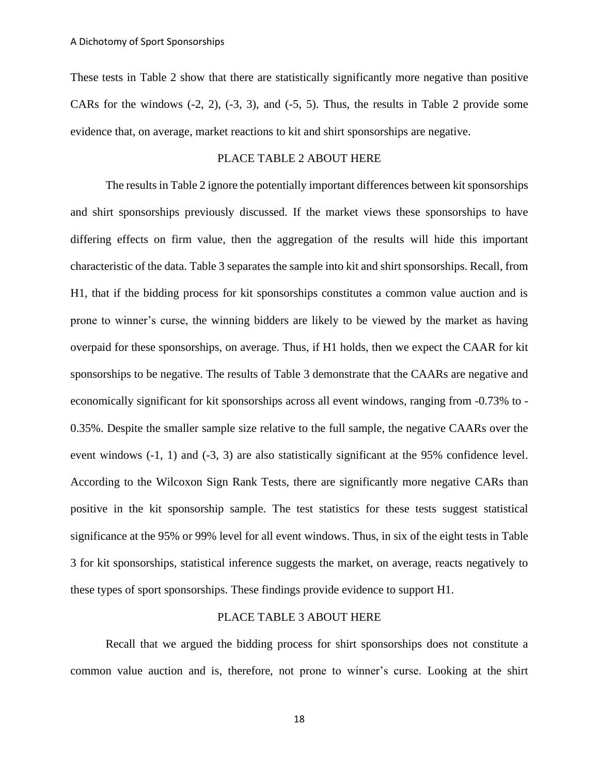These tests in Table 2 show that there are statistically significantly more negative than positive CARs for the windows  $(-2, 2)$ ,  $(-3, 3)$ , and  $(-5, 5)$ . Thus, the results in Table 2 provide some evidence that, on average, market reactions to kit and shirt sponsorships are negative.

## PLACE TABLE 2 ABOUT HERE

The results in Table 2 ignore the potentially important differences between kit sponsorships and shirt sponsorships previously discussed. If the market views these sponsorships to have differing effects on firm value, then the aggregation of the results will hide this important characteristic of the data. Table 3 separates the sample into kit and shirt sponsorships. Recall, from H1, that if the bidding process for kit sponsorships constitutes a common value auction and is prone to winner's curse, the winning bidders are likely to be viewed by the market as having overpaid for these sponsorships, on average. Thus, if H1 holds, then we expect the CAAR for kit sponsorships to be negative. The results of Table 3 demonstrate that the CAARs are negative and economically significant for kit sponsorships across all event windows, ranging from -0.73% to - 0.35%. Despite the smaller sample size relative to the full sample, the negative CAARs over the event windows (-1, 1) and (-3, 3) are also statistically significant at the 95% confidence level. According to the Wilcoxon Sign Rank Tests, there are significantly more negative CARs than positive in the kit sponsorship sample. The test statistics for these tests suggest statistical significance at the 95% or 99% level for all event windows. Thus, in six of the eight tests in Table 3 for kit sponsorships, statistical inference suggests the market, on average, reacts negatively to these types of sport sponsorships. These findings provide evidence to support H1.

#### PLACE TABLE 3 ABOUT HERE

Recall that we argued the bidding process for shirt sponsorships does not constitute a common value auction and is, therefore, not prone to winner's curse. Looking at the shirt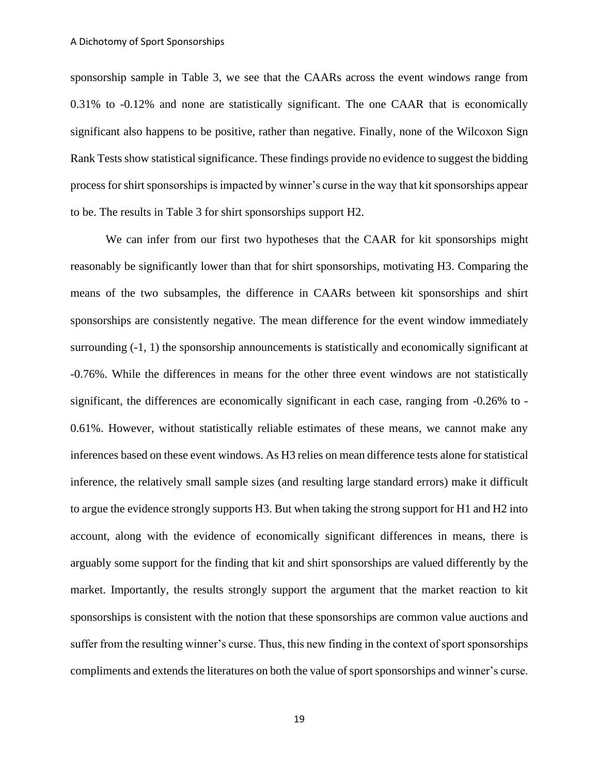sponsorship sample in Table 3, we see that the CAARs across the event windows range from 0.31% to -0.12% and none are statistically significant. The one CAAR that is economically significant also happens to be positive, rather than negative. Finally, none of the Wilcoxon Sign Rank Tests show statistical significance. These findings provide no evidence to suggest the bidding process for shirt sponsorships is impacted by winner's curse in the way that kit sponsorships appear to be. The results in Table 3 for shirt sponsorships support H2.

We can infer from our first two hypotheses that the CAAR for kit sponsorships might reasonably be significantly lower than that for shirt sponsorships, motivating H3. Comparing the means of the two subsamples, the difference in CAARs between kit sponsorships and shirt sponsorships are consistently negative. The mean difference for the event window immediately surrounding (-1, 1) the sponsorship announcements is statistically and economically significant at -0.76%. While the differences in means for the other three event windows are not statistically significant, the differences are economically significant in each case, ranging from -0.26% to - 0.61%. However, without statistically reliable estimates of these means, we cannot make any inferences based on these event windows. As H3 relies on mean difference tests alone for statistical inference, the relatively small sample sizes (and resulting large standard errors) make it difficult to argue the evidence strongly supports H3. But when taking the strong support for H1 and H2 into account, along with the evidence of economically significant differences in means, there is arguably some support for the finding that kit and shirt sponsorships are valued differently by the market. Importantly, the results strongly support the argument that the market reaction to kit sponsorships is consistent with the notion that these sponsorships are common value auctions and suffer from the resulting winner's curse. Thus, this new finding in the context of sport sponsorships compliments and extends the literatures on both the value of sport sponsorships and winner's curse.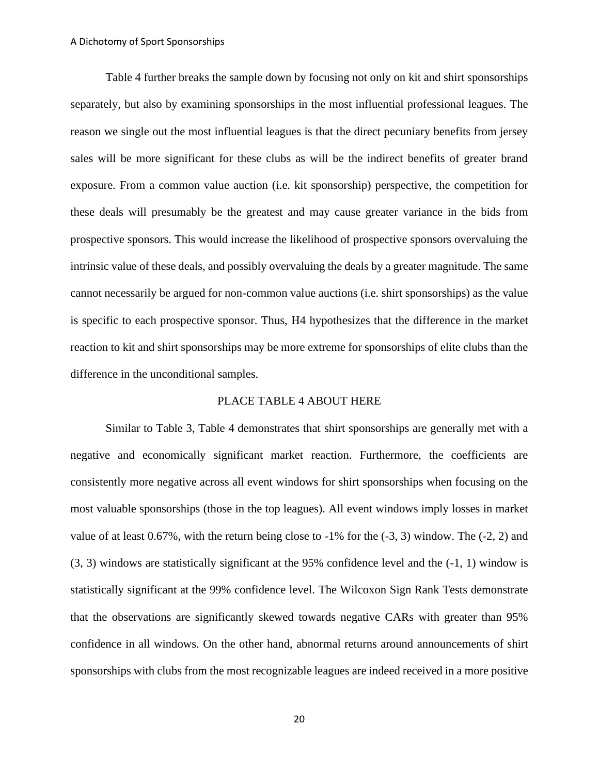Table 4 further breaks the sample down by focusing not only on kit and shirt sponsorships separately, but also by examining sponsorships in the most influential professional leagues. The reason we single out the most influential leagues is that the direct pecuniary benefits from jersey sales will be more significant for these clubs as will be the indirect benefits of greater brand exposure. From a common value auction (i.e. kit sponsorship) perspective, the competition for these deals will presumably be the greatest and may cause greater variance in the bids from prospective sponsors. This would increase the likelihood of prospective sponsors overvaluing the intrinsic value of these deals, and possibly overvaluing the deals by a greater magnitude. The same cannot necessarily be argued for non-common value auctions (i.e. shirt sponsorships) as the value is specific to each prospective sponsor. Thus, H4 hypothesizes that the difference in the market reaction to kit and shirt sponsorships may be more extreme for sponsorships of elite clubs than the difference in the unconditional samples.

#### PLACE TABLE 4 ABOUT HERE

Similar to Table 3, Table 4 demonstrates that shirt sponsorships are generally met with a negative and economically significant market reaction. Furthermore, the coefficients are consistently more negative across all event windows for shirt sponsorships when focusing on the most valuable sponsorships (those in the top leagues). All event windows imply losses in market value of at least  $0.67\%$ , with the return being close to  $-1\%$  for the  $(-3, 3)$  window. The  $(-2, 2)$  and (3, 3) windows are statistically significant at the 95% confidence level and the (-1, 1) window is statistically significant at the 99% confidence level. The Wilcoxon Sign Rank Tests demonstrate that the observations are significantly skewed towards negative CARs with greater than 95% confidence in all windows. On the other hand, abnormal returns around announcements of shirt sponsorships with clubs from the most recognizable leagues are indeed received in a more positive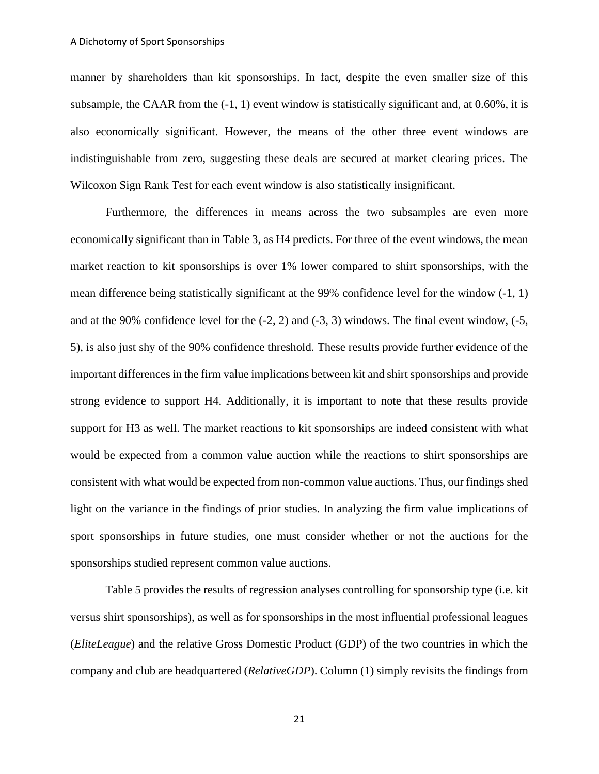manner by shareholders than kit sponsorships. In fact, despite the even smaller size of this subsample, the CAAR from the  $(-1, 1)$  event window is statistically significant and, at  $0.60\%$ , it is also economically significant. However, the means of the other three event windows are indistinguishable from zero, suggesting these deals are secured at market clearing prices. The Wilcoxon Sign Rank Test for each event window is also statistically insignificant.

Furthermore, the differences in means across the two subsamples are even more economically significant than in Table 3, as H4 predicts. For three of the event windows, the mean market reaction to kit sponsorships is over 1% lower compared to shirt sponsorships, with the mean difference being statistically significant at the 99% confidence level for the window (-1, 1) and at the 90% confidence level for the (-2, 2) and (-3, 3) windows. The final event window, (-5, 5), is also just shy of the 90% confidence threshold. These results provide further evidence of the important differences in the firm value implications between kit and shirt sponsorships and provide strong evidence to support H4. Additionally, it is important to note that these results provide support for H3 as well. The market reactions to kit sponsorships are indeed consistent with what would be expected from a common value auction while the reactions to shirt sponsorships are consistent with what would be expected from non-common value auctions. Thus, our findings shed light on the variance in the findings of prior studies. In analyzing the firm value implications of sport sponsorships in future studies, one must consider whether or not the auctions for the sponsorships studied represent common value auctions.

Table 5 provides the results of regression analyses controlling for sponsorship type (i.e. kit versus shirt sponsorships), as well as for sponsorships in the most influential professional leagues (*EliteLeague*) and the relative Gross Domestic Product (GDP) of the two countries in which the company and club are headquartered (*RelativeGDP*). Column (1) simply revisits the findings from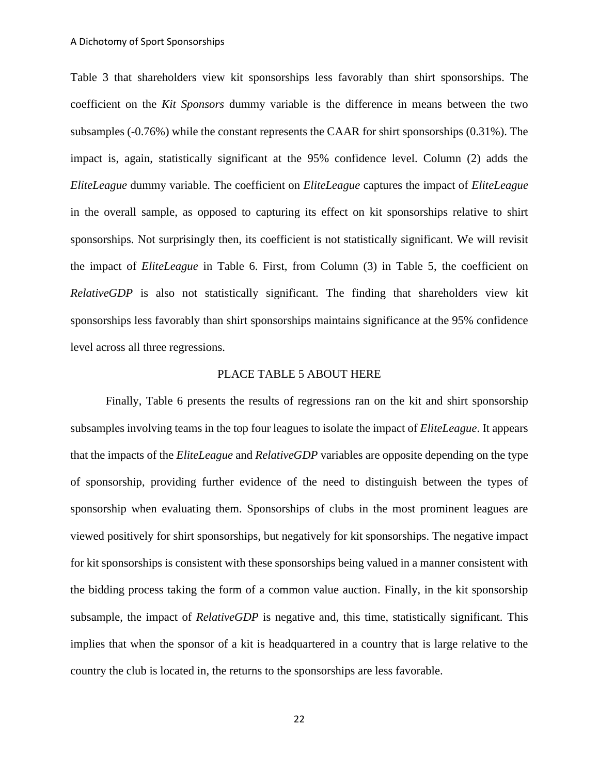Table 3 that shareholders view kit sponsorships less favorably than shirt sponsorships. The coefficient on the *Kit Sponsors* dummy variable is the difference in means between the two subsamples (-0.76%) while the constant represents the CAAR for shirt sponsorships (0.31%). The impact is, again, statistically significant at the 95% confidence level. Column (2) adds the *EliteLeague* dummy variable. The coefficient on *EliteLeague* captures the impact of *EliteLeague* in the overall sample, as opposed to capturing its effect on kit sponsorships relative to shirt sponsorships. Not surprisingly then, its coefficient is not statistically significant. We will revisit the impact of *EliteLeague* in Table 6. First, from Column (3) in Table 5, the coefficient on *RelativeGDP* is also not statistically significant. The finding that shareholders view kit sponsorships less favorably than shirt sponsorships maintains significance at the 95% confidence level across all three regressions.

#### PLACE TABLE 5 ABOUT HERE

Finally, Table 6 presents the results of regressions ran on the kit and shirt sponsorship subsamples involving teams in the top four leagues to isolate the impact of *EliteLeague*. It appears that the impacts of the *EliteLeague* and *RelativeGDP* variables are opposite depending on the type of sponsorship, providing further evidence of the need to distinguish between the types of sponsorship when evaluating them. Sponsorships of clubs in the most prominent leagues are viewed positively for shirt sponsorships, but negatively for kit sponsorships. The negative impact for kit sponsorships is consistent with these sponsorships being valued in a manner consistent with the bidding process taking the form of a common value auction. Finally, in the kit sponsorship subsample, the impact of *RelativeGDP* is negative and, this time, statistically significant. This implies that when the sponsor of a kit is headquartered in a country that is large relative to the country the club is located in, the returns to the sponsorships are less favorable.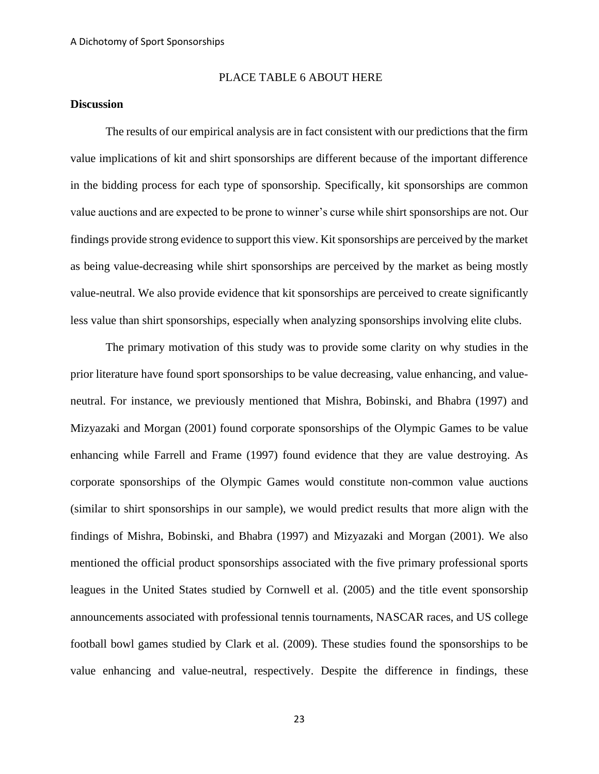#### PLACE TABLE 6 ABOUT HERE

## **Discussion**

The results of our empirical analysis are in fact consistent with our predictions that the firm value implications of kit and shirt sponsorships are different because of the important difference in the bidding process for each type of sponsorship. Specifically, kit sponsorships are common value auctions and are expected to be prone to winner's curse while shirt sponsorships are not. Our findings provide strong evidence to support this view. Kit sponsorships are perceived by the market as being value-decreasing while shirt sponsorships are perceived by the market as being mostly value-neutral. We also provide evidence that kit sponsorships are perceived to create significantly less value than shirt sponsorships, especially when analyzing sponsorships involving elite clubs.

The primary motivation of this study was to provide some clarity on why studies in the prior literature have found sport sponsorships to be value decreasing, value enhancing, and valueneutral. For instance, we previously mentioned that Mishra, Bobinski, and Bhabra (1997) and Mizyazaki and Morgan (2001) found corporate sponsorships of the Olympic Games to be value enhancing while Farrell and Frame (1997) found evidence that they are value destroying. As corporate sponsorships of the Olympic Games would constitute non-common value auctions (similar to shirt sponsorships in our sample), we would predict results that more align with the findings of Mishra, Bobinski, and Bhabra (1997) and Mizyazaki and Morgan (2001). We also mentioned the official product sponsorships associated with the five primary professional sports leagues in the United States studied by Cornwell et al. (2005) and the title event sponsorship announcements associated with professional tennis tournaments, NASCAR races, and US college football bowl games studied by Clark et al. (2009). These studies found the sponsorships to be value enhancing and value-neutral, respectively. Despite the difference in findings, these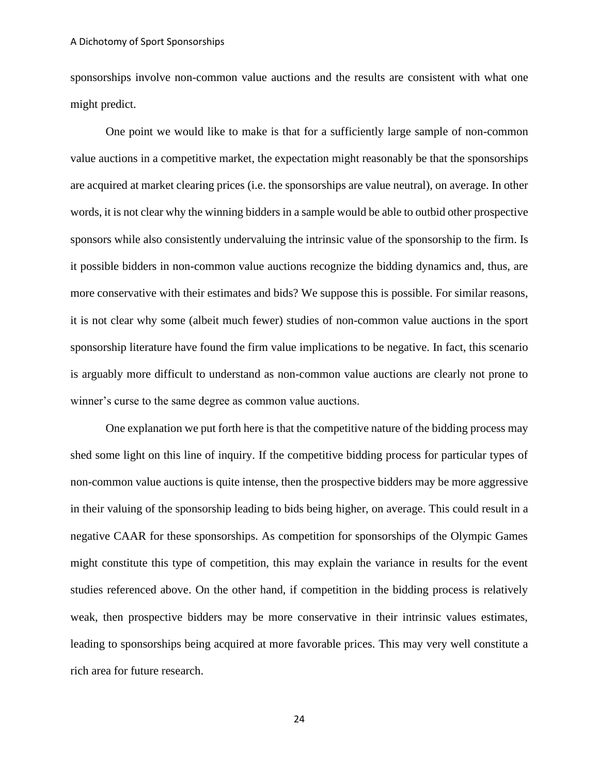sponsorships involve non-common value auctions and the results are consistent with what one might predict.

One point we would like to make is that for a sufficiently large sample of non-common value auctions in a competitive market, the expectation might reasonably be that the sponsorships are acquired at market clearing prices (i.e. the sponsorships are value neutral), on average. In other words, it is not clear why the winning bidders in a sample would be able to outbid other prospective sponsors while also consistently undervaluing the intrinsic value of the sponsorship to the firm. Is it possible bidders in non-common value auctions recognize the bidding dynamics and, thus, are more conservative with their estimates and bids? We suppose this is possible. For similar reasons, it is not clear why some (albeit much fewer) studies of non-common value auctions in the sport sponsorship literature have found the firm value implications to be negative. In fact, this scenario is arguably more difficult to understand as non-common value auctions are clearly not prone to winner's curse to the same degree as common value auctions.

One explanation we put forth here is that the competitive nature of the bidding process may shed some light on this line of inquiry. If the competitive bidding process for particular types of non-common value auctions is quite intense, then the prospective bidders may be more aggressive in their valuing of the sponsorship leading to bids being higher, on average. This could result in a negative CAAR for these sponsorships. As competition for sponsorships of the Olympic Games might constitute this type of competition, this may explain the variance in results for the event studies referenced above. On the other hand, if competition in the bidding process is relatively weak, then prospective bidders may be more conservative in their intrinsic values estimates, leading to sponsorships being acquired at more favorable prices. This may very well constitute a rich area for future research.

24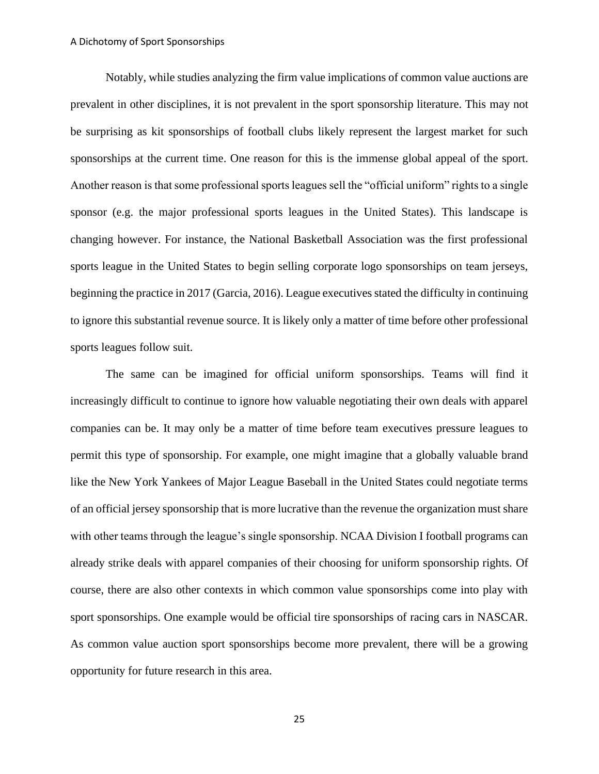Notably, while studies analyzing the firm value implications of common value auctions are prevalent in other disciplines, it is not prevalent in the sport sponsorship literature. This may not be surprising as kit sponsorships of football clubs likely represent the largest market for such sponsorships at the current time. One reason for this is the immense global appeal of the sport. Another reason is that some professional sports leagues sell the "official uniform" rights to a single sponsor (e.g. the major professional sports leagues in the United States). This landscape is changing however. For instance, the National Basketball Association was the first professional sports league in the United States to begin selling corporate logo sponsorships on team jerseys, beginning the practice in 2017 (Garcia, 2016). League executives stated the difficulty in continuing to ignore this substantial revenue source. It is likely only a matter of time before other professional sports leagues follow suit.

The same can be imagined for official uniform sponsorships. Teams will find it increasingly difficult to continue to ignore how valuable negotiating their own deals with apparel companies can be. It may only be a matter of time before team executives pressure leagues to permit this type of sponsorship. For example, one might imagine that a globally valuable brand like the New York Yankees of Major League Baseball in the United States could negotiate terms of an official jersey sponsorship that is more lucrative than the revenue the organization must share with other teams through the league's single sponsorship. NCAA Division I football programs can already strike deals with apparel companies of their choosing for uniform sponsorship rights. Of course, there are also other contexts in which common value sponsorships come into play with sport sponsorships. One example would be official tire sponsorships of racing cars in NASCAR. As common value auction sport sponsorships become more prevalent, there will be a growing opportunity for future research in this area.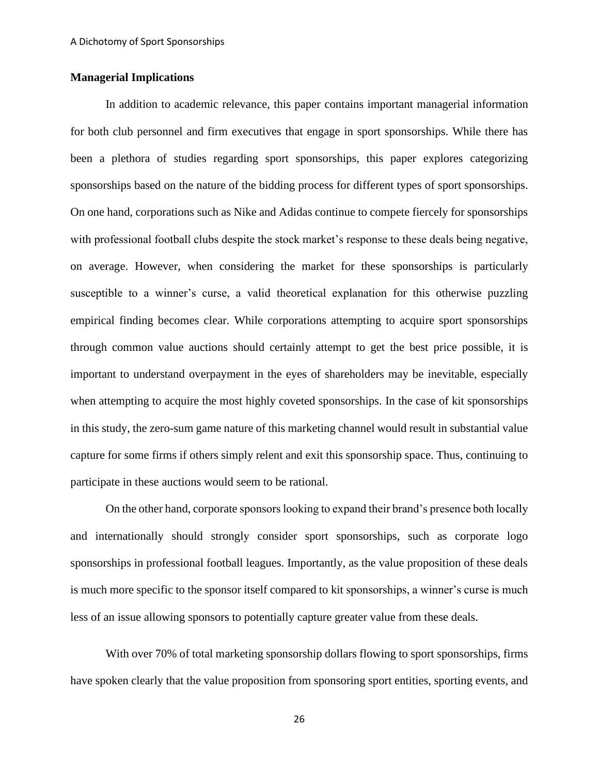## **Managerial Implications**

In addition to academic relevance, this paper contains important managerial information for both club personnel and firm executives that engage in sport sponsorships. While there has been a plethora of studies regarding sport sponsorships, this paper explores categorizing sponsorships based on the nature of the bidding process for different types of sport sponsorships. On one hand, corporations such as Nike and Adidas continue to compete fiercely for sponsorships with professional football clubs despite the stock market's response to these deals being negative, on average. However, when considering the market for these sponsorships is particularly susceptible to a winner's curse, a valid theoretical explanation for this otherwise puzzling empirical finding becomes clear. While corporations attempting to acquire sport sponsorships through common value auctions should certainly attempt to get the best price possible, it is important to understand overpayment in the eyes of shareholders may be inevitable, especially when attempting to acquire the most highly coveted sponsorships. In the case of kit sponsorships in this study, the zero-sum game nature of this marketing channel would result in substantial value capture for some firms if others simply relent and exit this sponsorship space. Thus, continuing to participate in these auctions would seem to be rational.

On the other hand, corporate sponsors looking to expand their brand's presence both locally and internationally should strongly consider sport sponsorships, such as corporate logo sponsorships in professional football leagues. Importantly, as the value proposition of these deals is much more specific to the sponsor itself compared to kit sponsorships, a winner's curse is much less of an issue allowing sponsors to potentially capture greater value from these deals.

With over 70% of total marketing sponsorship dollars flowing to sport sponsorships, firms have spoken clearly that the value proposition from sponsoring sport entities, sporting events, and

26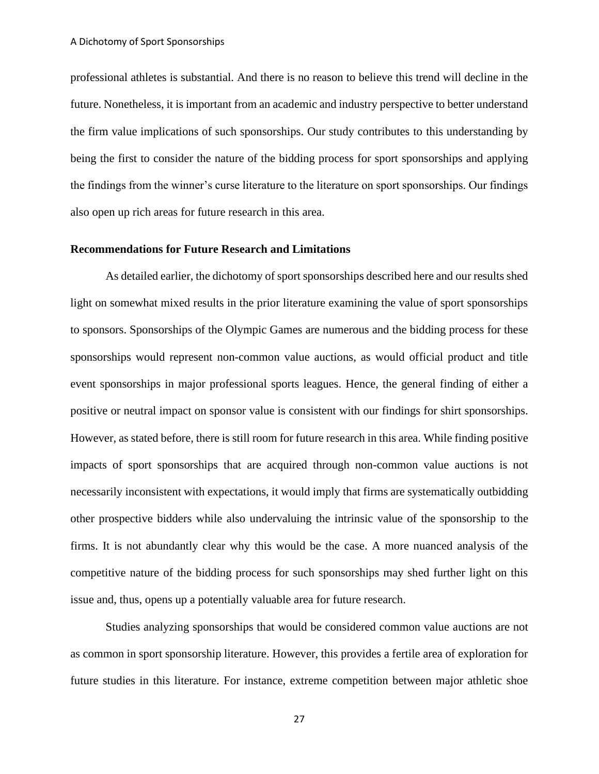professional athletes is substantial. And there is no reason to believe this trend will decline in the future. Nonetheless, it is important from an academic and industry perspective to better understand the firm value implications of such sponsorships. Our study contributes to this understanding by being the first to consider the nature of the bidding process for sport sponsorships and applying the findings from the winner's curse literature to the literature on sport sponsorships. Our findings also open up rich areas for future research in this area.

## **Recommendations for Future Research and Limitations**

As detailed earlier, the dichotomy of sport sponsorships described here and our results shed light on somewhat mixed results in the prior literature examining the value of sport sponsorships to sponsors. Sponsorships of the Olympic Games are numerous and the bidding process for these sponsorships would represent non-common value auctions, as would official product and title event sponsorships in major professional sports leagues. Hence, the general finding of either a positive or neutral impact on sponsor value is consistent with our findings for shirt sponsorships. However, as stated before, there is still room for future research in this area. While finding positive impacts of sport sponsorships that are acquired through non-common value auctions is not necessarily inconsistent with expectations, it would imply that firms are systematically outbidding other prospective bidders while also undervaluing the intrinsic value of the sponsorship to the firms. It is not abundantly clear why this would be the case. A more nuanced analysis of the competitive nature of the bidding process for such sponsorships may shed further light on this issue and, thus, opens up a potentially valuable area for future research.

Studies analyzing sponsorships that would be considered common value auctions are not as common in sport sponsorship literature. However, this provides a fertile area of exploration for future studies in this literature. For instance, extreme competition between major athletic shoe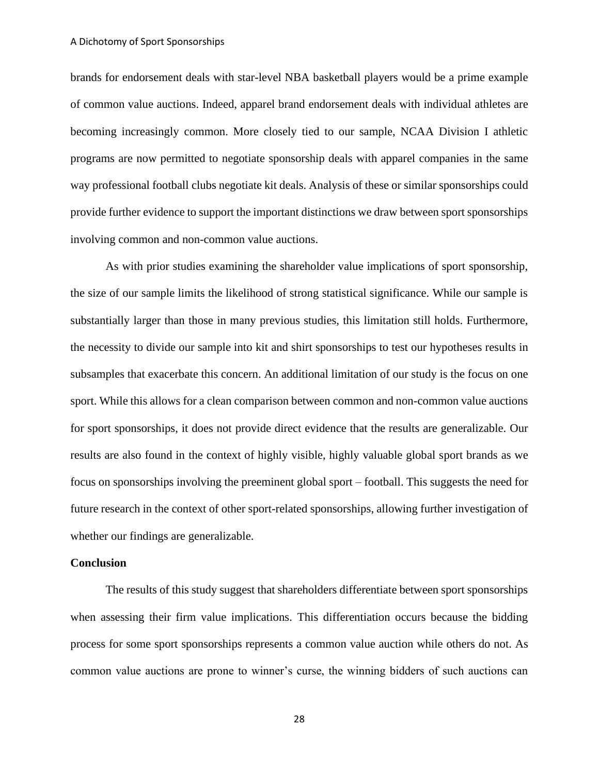#### A Dichotomy of Sport Sponsorships

brands for endorsement deals with star-level NBA basketball players would be a prime example of common value auctions. Indeed, apparel brand endorsement deals with individual athletes are becoming increasingly common. More closely tied to our sample, NCAA Division I athletic programs are now permitted to negotiate sponsorship deals with apparel companies in the same way professional football clubs negotiate kit deals. Analysis of these or similar sponsorships could provide further evidence to support the important distinctions we draw between sport sponsorships involving common and non-common value auctions.

As with prior studies examining the shareholder value implications of sport sponsorship, the size of our sample limits the likelihood of strong statistical significance. While our sample is substantially larger than those in many previous studies, this limitation still holds. Furthermore, the necessity to divide our sample into kit and shirt sponsorships to test our hypotheses results in subsamples that exacerbate this concern. An additional limitation of our study is the focus on one sport. While this allows for a clean comparison between common and non-common value auctions for sport sponsorships, it does not provide direct evidence that the results are generalizable. Our results are also found in the context of highly visible, highly valuable global sport brands as we focus on sponsorships involving the preeminent global sport – football. This suggests the need for future research in the context of other sport-related sponsorships, allowing further investigation of whether our findings are generalizable.

#### **Conclusion**

The results of this study suggest that shareholders differentiate between sport sponsorships when assessing their firm value implications. This differentiation occurs because the bidding process for some sport sponsorships represents a common value auction while others do not. As common value auctions are prone to winner's curse, the winning bidders of such auctions can

28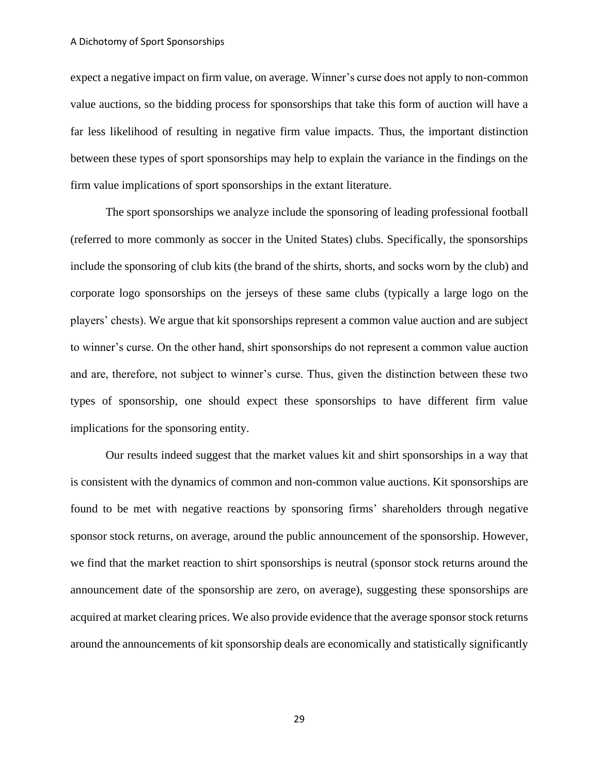#### A Dichotomy of Sport Sponsorships

expect a negative impact on firm value, on average. Winner's curse does not apply to non-common value auctions, so the bidding process for sponsorships that take this form of auction will have a far less likelihood of resulting in negative firm value impacts. Thus, the important distinction between these types of sport sponsorships may help to explain the variance in the findings on the firm value implications of sport sponsorships in the extant literature.

The sport sponsorships we analyze include the sponsoring of leading professional football (referred to more commonly as soccer in the United States) clubs. Specifically, the sponsorships include the sponsoring of club kits (the brand of the shirts, shorts, and socks worn by the club) and corporate logo sponsorships on the jerseys of these same clubs (typically a large logo on the players' chests). We argue that kit sponsorships represent a common value auction and are subject to winner's curse. On the other hand, shirt sponsorships do not represent a common value auction and are, therefore, not subject to winner's curse. Thus, given the distinction between these two types of sponsorship, one should expect these sponsorships to have different firm value implications for the sponsoring entity.

Our results indeed suggest that the market values kit and shirt sponsorships in a way that is consistent with the dynamics of common and non-common value auctions. Kit sponsorships are found to be met with negative reactions by sponsoring firms' shareholders through negative sponsor stock returns, on average, around the public announcement of the sponsorship. However, we find that the market reaction to shirt sponsorships is neutral (sponsor stock returns around the announcement date of the sponsorship are zero, on average), suggesting these sponsorships are acquired at market clearing prices. We also provide evidence that the average sponsor stock returns around the announcements of kit sponsorship deals are economically and statistically significantly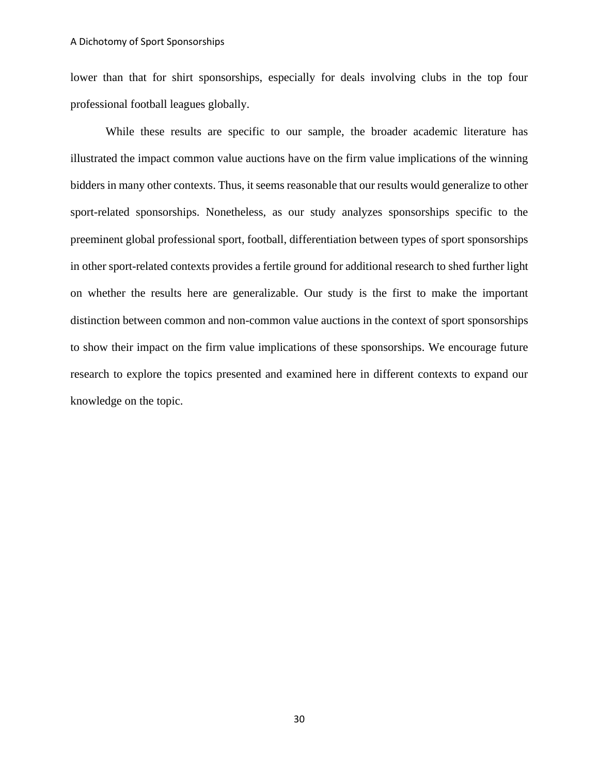lower than that for shirt sponsorships, especially for deals involving clubs in the top four professional football leagues globally.

While these results are specific to our sample, the broader academic literature has illustrated the impact common value auctions have on the firm value implications of the winning bidders in many other contexts. Thus, it seems reasonable that our results would generalize to other sport-related sponsorships. Nonetheless, as our study analyzes sponsorships specific to the preeminent global professional sport, football, differentiation between types of sport sponsorships in other sport-related contexts provides a fertile ground for additional research to shed further light on whether the results here are generalizable. Our study is the first to make the important distinction between common and non-common value auctions in the context of sport sponsorships to show their impact on the firm value implications of these sponsorships. We encourage future research to explore the topics presented and examined here in different contexts to expand our knowledge on the topic.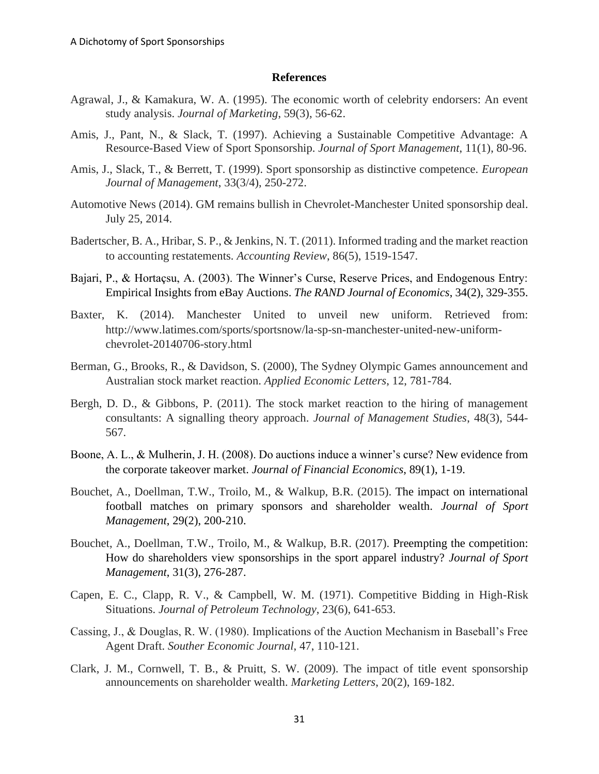#### **References**

- Agrawal, J., & Kamakura, W. A. (1995). The economic worth of celebrity endorsers: An event study analysis. *Journal of Marketing*, 59(3), 56-62.
- Amis, J., Pant, N., & Slack, T. (1997). Achieving a Sustainable Competitive Advantage: A Resource-Based View of Sport Sponsorship. *Journal of Sport Management*, 11(1), 80-96.
- Amis, J., Slack, T., & Berrett, T. (1999). Sport sponsorship as distinctive competence. *European Journal of Management*, 33(3/4), 250-272.
- Automotive News (2014). GM remains bullish in Chevrolet-Manchester United sponsorship deal. July 25, 2014.
- Badertscher, B. A., Hribar, S. P., & Jenkins, N. T. (2011). Informed trading and the market reaction to accounting restatements. *Accounting Review*, 86(5), 1519-1547.
- Bajari, P., & Hortaçsu, A. (2003). The Winner's Curse, Reserve Prices, and Endogenous Entry: Empirical Insights from eBay Auctions. *The RAND Journal of Economics*, 34(2), 329-355.
- Baxter, K. (2014). Manchester United to unveil new uniform. Retrieved from: http://www.latimes.com/sports/sportsnow/la-sp-sn-manchester-united-new-uniformchevrolet-20140706-story.html
- Berman, G., Brooks, R., & Davidson, S. (2000), The Sydney Olympic Games announcement and Australian stock market reaction. *Applied Economic Letters*, 12, 781-784.
- Bergh, D. D., & Gibbons, P. (2011). The stock market reaction to the hiring of management consultants: A signalling theory approach. *Journal of Management Studies*, 48(3), 544- 567.
- Boone, A. L., & Mulherin, J. H. (2008). Do auctions induce a winner's curse? New evidence from the corporate takeover market. *Journal of Financial Economics*, 89(1), 1-19.
- Bouchet, A., Doellman, T.W., Troilo, M., & Walkup, B.R. (2015). The impact on international football matches on primary sponsors and shareholder wealth. *Journal of Sport Management*, 29(2), 200-210.
- Bouchet, A., Doellman, T.W., Troilo, M., & Walkup, B.R. (2017). Preempting the competition: How do shareholders view sponsorships in the sport apparel industry? *Journal of Sport Management*, 31(3), 276-287.
- Capen, E. C., Clapp, R. V., & Campbell, W. M. (1971). Competitive Bidding in High-Risk Situations. *Journal of Petroleum Technology*, 23(6), 641-653.
- Cassing, J., & Douglas, R. W. (1980). Implications of the Auction Mechanism in Baseball's Free Agent Draft. *Souther Economic Journal*, 47, 110-121.
- Clark, J. M., Cornwell, T. B., & Pruitt, S. W. (2009). The impact of title event sponsorship announcements on shareholder wealth. *Marketing Letters*, 20(2), 169-182.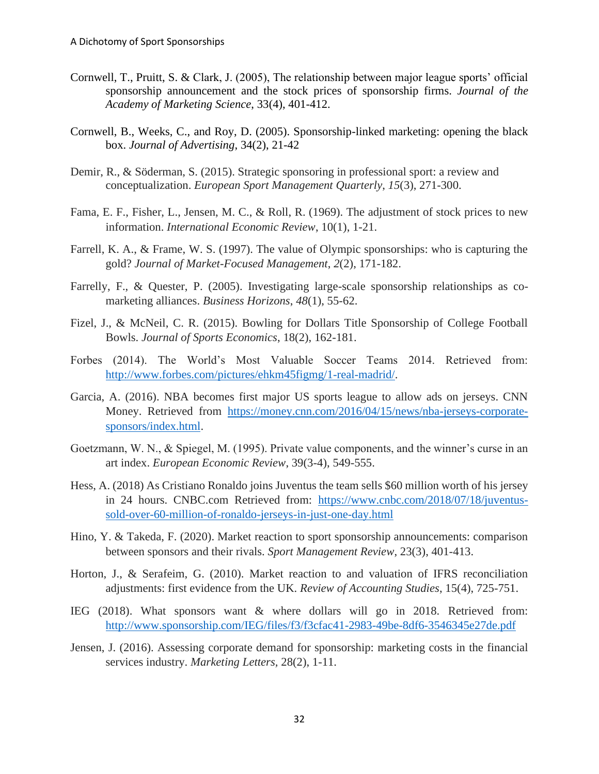- Cornwell, T., Pruitt, S. & Clark, J. (2005), The relationship between major league sports' official sponsorship announcement and the stock prices of sponsorship firms. *Journal of the Academy of Marketing Science*, 33(4), 401-412.
- Cornwell, B., Weeks, C., and Roy, D. (2005). Sponsorship-linked marketing: opening the black box. *Journal of Advertising*, 34(2), 21-42
- Demir, R., & Söderman, S. (2015). Strategic sponsoring in professional sport: a review and conceptualization. *European Sport Management Quarterly*, *15*(3), 271-300.
- Fama, E. F., Fisher, L., Jensen, M. C., & Roll, R. (1969). The adjustment of stock prices to new information. *International Economic Review*, 10(1), 1-21.
- Farrell, K. A., & Frame, W. S. (1997). The value of Olympic sponsorships: who is capturing the gold? *Journal of Market-Focused Management*, *2*(2), 171-182.
- Farrelly, F., & Quester, P. (2005). Investigating large-scale sponsorship relationships as comarketing alliances. *Business Horizons*, *48*(1), 55-62.
- Fizel, J., & McNeil, C. R. (2015). Bowling for Dollars Title Sponsorship of College Football Bowls. *Journal of Sports Economics*, 18(2), 162-181.
- Forbes (2014). The World's Most Valuable Soccer Teams 2014. Retrieved from: [http://www.forbes.com/pictures/ehkm45figmg/1-real-madrid/.](http://www.forbes.com/pictures/ehkm45figmg/1-real-madrid/)
- Garcia, A. (2016). NBA becomes first major US sports league to allow ads on jerseys. CNN Money. Retrieved from [https://money.cnn.com/2016/04/15/news/nba-jerseys-corporate](https://money.cnn.com/2016/04/15/news/nba-jerseys-corporate-sponsors/index.html)[sponsors/index.html.](https://money.cnn.com/2016/04/15/news/nba-jerseys-corporate-sponsors/index.html)
- Goetzmann, W. N., & Spiegel, M. (1995). Private value components, and the winner's curse in an art index. *European Economic Review*, 39(3-4), 549-555.
- Hess, A. (2018) As Cristiano Ronaldo joins Juventus the team sells \$60 million worth of his jersey in 24 hours. CNBC.com Retrieved from: [https://www.cnbc.com/2018/07/18/juventus](https://www.cnbc.com/2018/07/18/juventus-sold-over-60-million-of-ronaldo-jerseys-in-just-one-day.html)[sold-over-60-million-of-ronaldo-jerseys-in-just-one-day.html](https://www.cnbc.com/2018/07/18/juventus-sold-over-60-million-of-ronaldo-jerseys-in-just-one-day.html)
- Hino, Y. & Takeda, F. (2020). Market reaction to sport sponsorship announcements: comparison between sponsors and their rivals. *Sport Management Review*, 23(3), 401-413.
- Horton, J., & Serafeim, G. (2010). Market reaction to and valuation of IFRS reconciliation adjustments: first evidence from the UK. *Review of Accounting Studies*, 15(4), 725-751.
- IEG (2018). What sponsors want & where dollars will go in 2018. Retrieved from: <http://www.sponsorship.com/IEG/files/f3/f3cfac41-2983-49be-8df6-3546345e27de.pdf>
- Jensen, J. (2016). Assessing corporate demand for sponsorship: marketing costs in the financial services industry. *Marketing Letters,* 28(2), 1-11.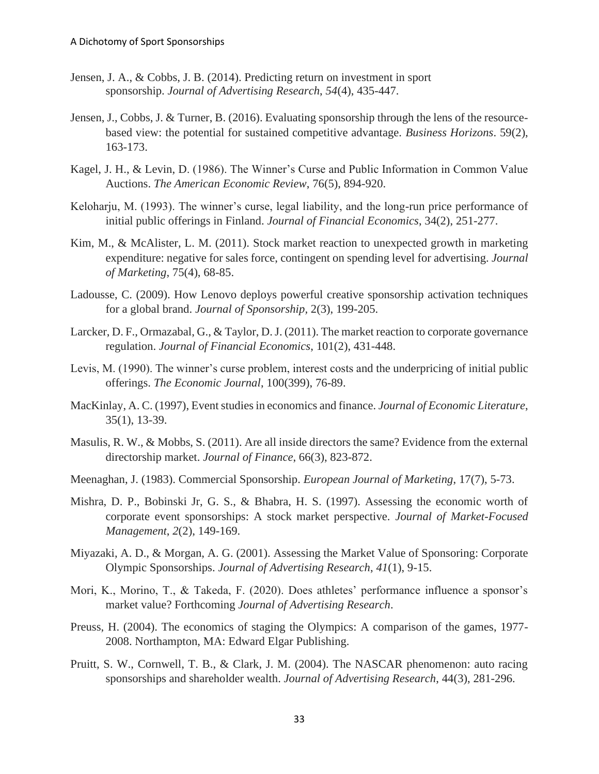- Jensen, J. A., & Cobbs, J. B. (2014). Predicting return on investment in sport sponsorship. *Journal of Advertising Research*, *54*(4), 435-447.
- Jensen, J., Cobbs, J. & Turner, B. (2016). Evaluating sponsorship through the lens of the resourcebased view: the potential for sustained competitive advantage. *Business Horizons*. 59(2), 163-173.
- Kagel, J. H., & Levin, D. (1986). The Winner's Curse and Public Information in Common Value Auctions. *The American Economic Review*, 76(5), 894-920.
- Keloharju, M. (1993). The winner's curse, legal liability, and the long-run price performance of initial public offerings in Finland. *Journal of Financial Economics*, 34(2), 251-277.
- Kim, M., & McAlister, L. M. (2011). Stock market reaction to unexpected growth in marketing expenditure: negative for sales force, contingent on spending level for advertising. *Journal of Marketing*, 75(4), 68-85.
- Ladousse, C. (2009). How Lenovo deploys powerful creative sponsorship activation techniques for a global brand. *Journal of Sponsorship,* 2(3), 199-205.
- Larcker, D. F., Ormazabal, G., & Taylor, D. J. (2011). The market reaction to corporate governance regulation. *Journal of Financial Economics*, 101(2), 431-448.
- Levis, M. (1990). The winner's curse problem, interest costs and the underpricing of initial public offerings. *The Economic Journal*, 100(399), 76-89.
- MacKinlay, A. C. (1997), Event studies in economics and finance. *Journal of Economic Literature*, 35(1), 13-39.
- Masulis, R. W., & Mobbs, S. (2011). Are all inside directors the same? Evidence from the external directorship market. *Journal of Finance*, 66(3), 823-872.
- Meenaghan, J. (1983). Commercial Sponsorship. *European Journal of Marketing*, 17(7), 5-73.
- Mishra, D. P., Bobinski Jr, G. S., & Bhabra, H. S. (1997). Assessing the economic worth of corporate event sponsorships: A stock market perspective. *Journal of Market-Focused Management*, *2*(2), 149-169.
- Miyazaki, A. D., & Morgan, A. G. (2001). Assessing the Market Value of Sponsoring: Corporate Olympic Sponsorships. *Journal of Advertising Research*, *41*(1), 9-15.
- Mori, K., Morino, T., & Takeda, F. (2020). Does athletes' performance influence a sponsor's market value? Forthcoming *Journal of Advertising Research*.
- Preuss, H. (2004). The economics of staging the Olympics: A comparison of the games, 1977- 2008. Northampton, MA: Edward Elgar Publishing.
- Pruitt, S. W., Cornwell, T. B., & Clark, J. M. (2004). The NASCAR phenomenon: auto racing sponsorships and shareholder wealth. *Journal of Advertising Research*, 44(3), 281-296.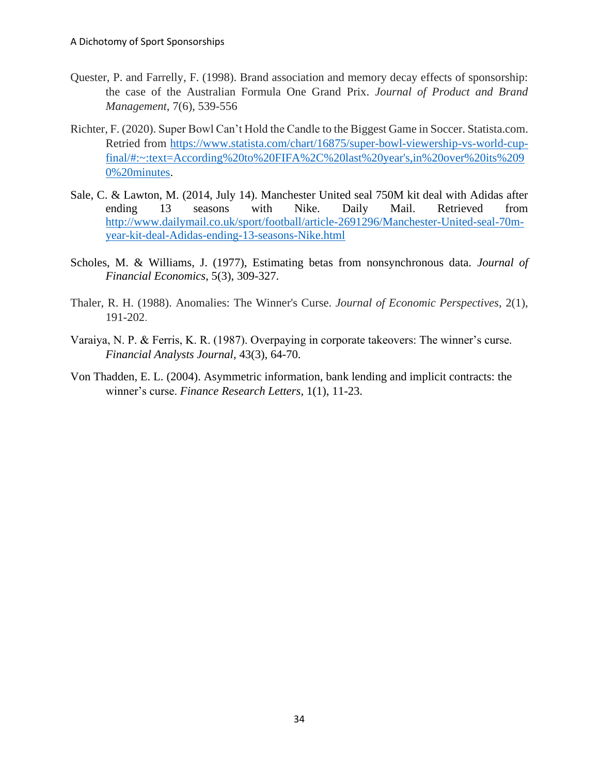- Quester, P. and Farrelly, F. (1998). Brand association and memory decay effects of sponsorship: the case of the Australian Formula One Grand Prix. *Journal of Product and Brand Management*, 7(6), 539-556
- Richter, F. (2020). Super Bowl Can't Hold the Candle to the Biggest Game in Soccer. Statista.com. Retried from [https://www.statista.com/chart/16875/super-bowl-viewership-vs-world-cup](https://www.statista.com/chart/16875/super-bowl-viewership-vs-world-cup-final/#:~:text=According%20to%20FIFA%2C%20last%20year)[final/#:~:text=According%20to%20FIFA%2C%20last%20year's,in%20over%20its%209](https://www.statista.com/chart/16875/super-bowl-viewership-vs-world-cup-final/#:~:text=According%20to%20FIFA%2C%20last%20year) [0%20minutes.](https://www.statista.com/chart/16875/super-bowl-viewership-vs-world-cup-final/#:~:text=According%20to%20FIFA%2C%20last%20year)
- Sale, C. & Lawton, M. (2014, July 14). Manchester United seal 750M kit deal with Adidas after ending 13 seasons with Nike. Daily Mail. Retrieved from [http://www.dailymail.co.uk/sport/football/article-2691296/Manchester-United-seal-70m](http://www.dailymail.co.uk/sport/football/article-2691296/Manchester-United-seal-70m-year-kit-deal-Adidas-ending-13-seasons-Nike.html)[year-kit-deal-Adidas-ending-13-seasons-Nike.html](http://www.dailymail.co.uk/sport/football/article-2691296/Manchester-United-seal-70m-year-kit-deal-Adidas-ending-13-seasons-Nike.html)
- Scholes, M. & Williams, J. (1977), Estimating betas from nonsynchronous data. *Journal of Financial Economics*, 5(3), 309-327.
- Thaler, R. H. (1988). Anomalies: The Winner's Curse. *Journal of Economic Perspectives*, 2(1), 191-202.
- Varaiya, N. P. & Ferris, K. R. (1987). Overpaying in corporate takeovers: The winner's curse. *Financial Analysts Journal*, 43(3), 64-70.
- Von Thadden, E. L. (2004). Asymmetric information, bank lending and implicit contracts: the winner's curse. *Finance Research Letters*, 1(1), 11-23.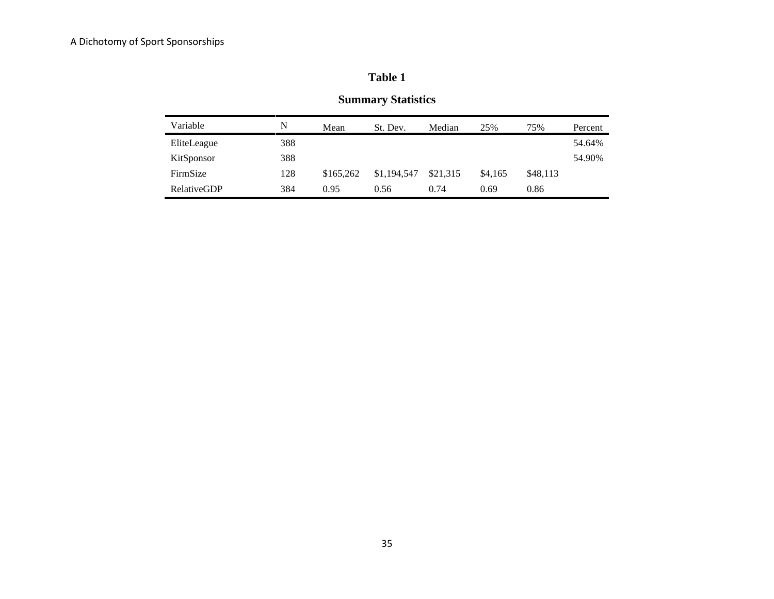# **Summary Statistics**

| Variable    | N   | Mean      | St. Dev.    | Median   | 25%     | 75%      | Percent |
|-------------|-----|-----------|-------------|----------|---------|----------|---------|
| EliteLeague | 388 |           |             |          |         |          | 54.64%  |
| KitSponsor  | 388 |           |             |          |         |          | 54.90%  |
| FirmSize    | 128 | \$165,262 | \$1,194,547 | \$21,315 | \$4.165 | \$48,113 |         |
| RelativeGDP | 384 | 0.95      | 0.56        | 0.74     | 0.69    | 0.86     |         |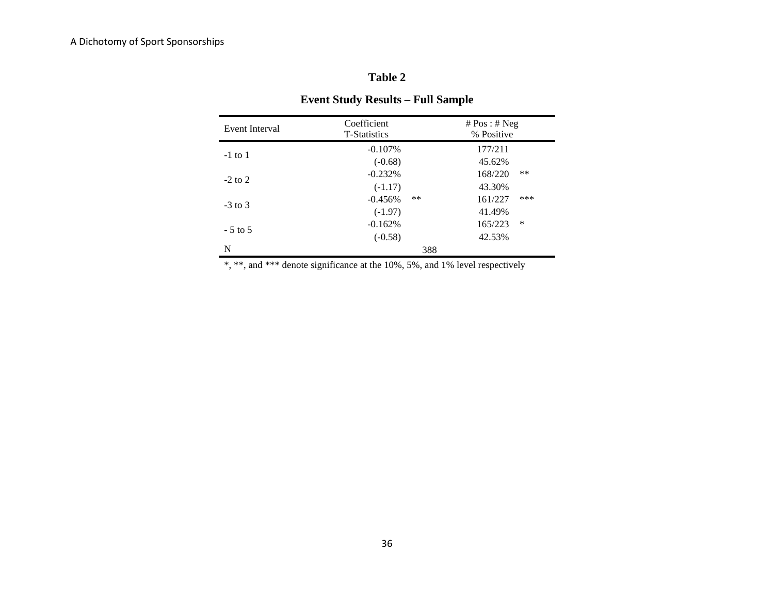| Event Interval | Coefficient<br><b>T-Statistics</b> | # $Pos:$ # Neg<br>% Positive |  |  |
|----------------|------------------------------------|------------------------------|--|--|
| $-1$ to 1      | $-0.107\%$                         | 177/211                      |  |  |
|                | $(-0.68)$                          | 45.62%                       |  |  |
| $-2$ to 2      | $-0.232%$                          | $***$<br>168/220             |  |  |
|                | $(-1.17)$                          | 43.30%                       |  |  |
| $-3$ to 3      | $-0.456%$                          | $***$<br>***<br>161/227      |  |  |
|                | $(-1.97)$                          | 41.49%                       |  |  |
| $-5$ to 5      | $-0.162%$                          | *<br>165/223                 |  |  |
|                | $(-0.58)$                          | 42.53%                       |  |  |
| N              |                                    | 388                          |  |  |

# **Event Study Results – Full Sample**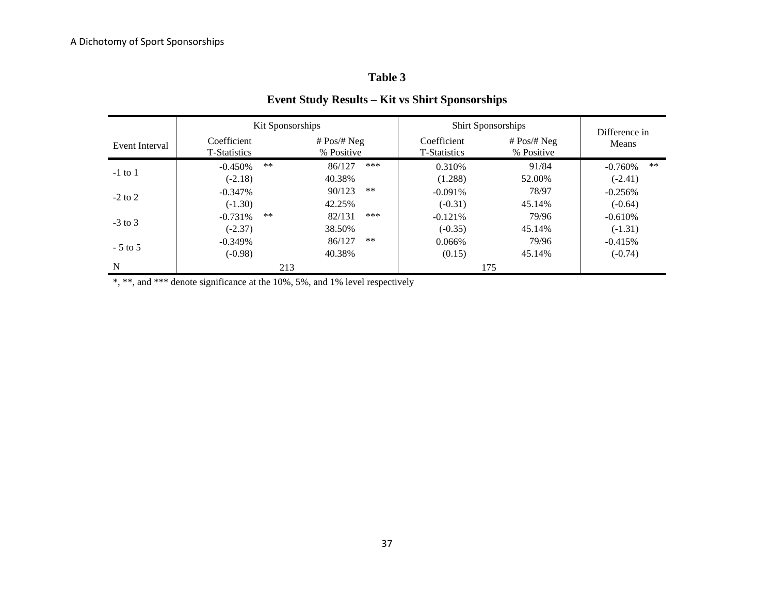|  |  |  | <b>Event Study Results – Kit vs Shirt Sponsorships</b> |
|--|--|--|--------------------------------------------------------|
|--|--|--|--------------------------------------------------------|

|                | Kit Sponsorships                   |       |                             | <b>Shirt Sponsorships</b> | Difference in                      |                             |                 |
|----------------|------------------------------------|-------|-----------------------------|---------------------------|------------------------------------|-----------------------------|-----------------|
| Event Interval | Coefficient<br><b>T-Statistics</b> |       | # $Pos/# Neg$<br>% Positive |                           | Coefficient<br><b>T-Statistics</b> | $# Pos/H$ Neg<br>% Positive | Means           |
| $-1$ to 1      | $-0.450%$                          | $***$ | 86/127                      | ***                       | 0.310\%                            | 91/84                       | **<br>$-0.760%$ |
|                | $(-2.18)$                          |       | 40.38%                      |                           | (1.288)                            | 52.00%                      | $(-2.41)$       |
| $-2$ to 2      | $-0.347\%$                         |       | 90/123                      | **                        | $-0.091\%$                         | 78/97                       | $-0.256%$       |
|                | $(-1.30)$                          |       | 42.25%                      |                           | $(-0.31)$                          | 45.14%                      | $(-0.64)$       |
| $-3$ to 3      | $-0.731\%$                         | $***$ | 82/131                      | ***                       | $-0.121%$                          | 79/96                       | $-0.610%$       |
|                | $(-2.37)$                          |       | 38.50%                      |                           | $(-0.35)$                          | 45.14%                      | $(-1.31)$       |
| $-5$ to 5      | $-0.349%$                          |       | 86/127                      | **                        | 0.066%                             | 79/96                       | $-0.415%$       |
|                | $(-0.98)$                          |       | 40.38%                      |                           | (0.15)                             | 45.14%                      | $(-0.74)$       |
| N              |                                    | 213   |                             |                           |                                    | 175                         |                 |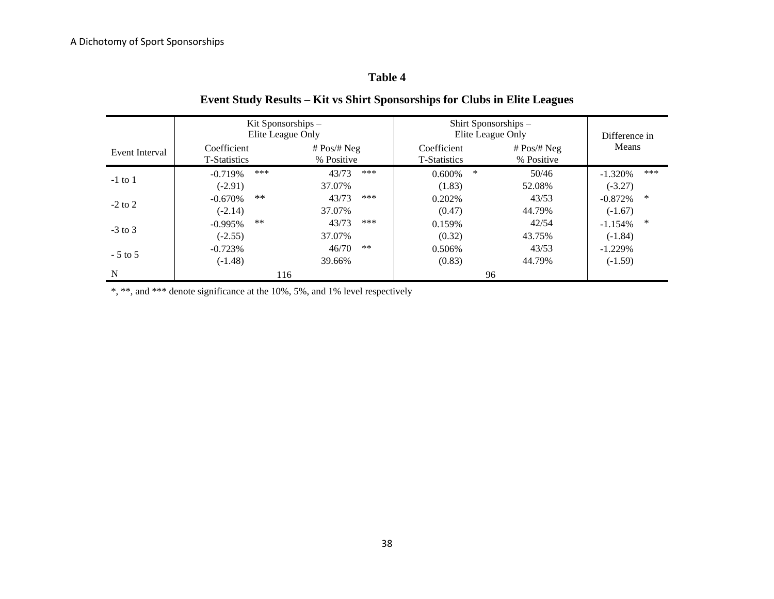|                | Kit Sponsorships $-$<br>Elite League Only |                           | Shirt Sponsorships $-$<br>Elite League Only | Difference in               |                               |
|----------------|-------------------------------------------|---------------------------|---------------------------------------------|-----------------------------|-------------------------------|
| Event Interval | Coefficient<br><b>T</b> -Statistics       | # Pos/H Neg<br>% Positive | Coefficient<br><b>T-Statistics</b>          | # $Pos/H$ Neg<br>% Positive | Means                         |
| $-1$ to 1      | ***<br>$-0.719%$<br>$(-2.91)$             | ***<br>43/73<br>37.07%    | *<br>$0.600\%$<br>(1.83)                    | 50/46<br>52.08%             | ***<br>$-1.320%$<br>$(-3.27)$ |
| $-2$ to 2      | $**$<br>$-0.670%$<br>$(-2.14)$            | ***<br>43/73<br>37.07%    | 0.202%<br>(0.47)                            | 43/53<br>44.79%             | ∗<br>$-0.872%$<br>$(-1.67)$   |
| $-3$ to 3      | $***$<br>$-0.995%$<br>$(-2.55)$           | 43/73<br>***<br>37.07%    | 0.159%<br>(0.32)                            | 42/54<br>43.75%             | ∗<br>$-1.154%$<br>$(-1.84)$   |
| $-5$ to 5      | $-0.723%$<br>$(-1.48)$                    | $***$<br>46/70<br>39.66%  | 0.506%<br>(0.83)                            | 43/53<br>44.79%             | $-1.229%$<br>$(-1.59)$        |
| N              | 116                                       |                           | 96                                          |                             |                               |

# **Event Study Results – Kit vs Shirt Sponsorships for Clubs in Elite Leagues**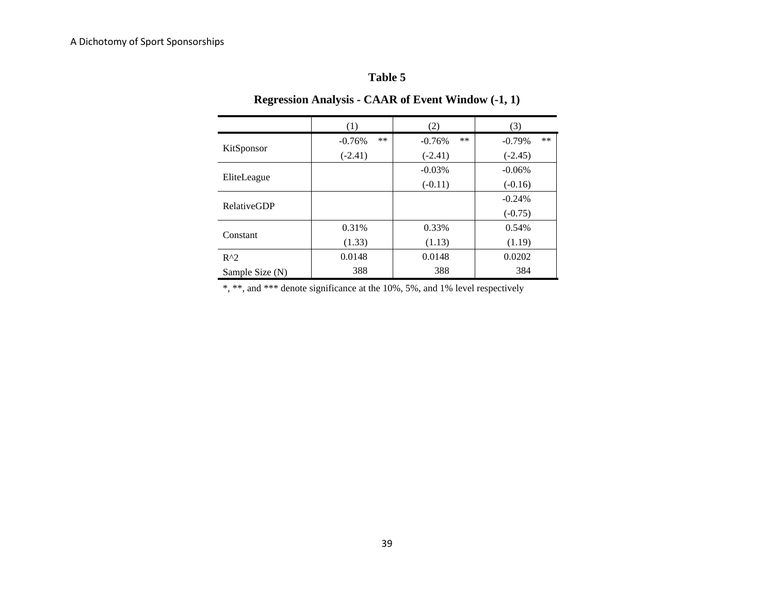# **Regression Analysis - CAAR of Event Window (-1, 1)**

|                    | (1)               | (2)               | (3)            |
|--------------------|-------------------|-------------------|----------------|
|                    | $***$<br>$-0.76%$ | $***$<br>$-0.76%$ | **<br>$-0.79%$ |
| KitSponsor         | $(-2.41)$         | $(-2.41)$         | $(-2.45)$      |
|                    |                   | $-0.03%$          | $-0.06%$       |
| EliteLeague        |                   | $(-0.11)$         | $(-0.16)$      |
| <b>RelativeGDP</b> |                   |                   | $-0.24%$       |
|                    |                   |                   | $(-0.75)$      |
| Constant           | 0.31%             | 0.33%             | 0.54%          |
|                    | (1.33)            | (1.13)            | (1.19)         |
| $R^{\wedge}2$      | 0.0148            | 0.0148            | 0.0202         |
| Sample Size (N)    | 388               | 388               | 384            |